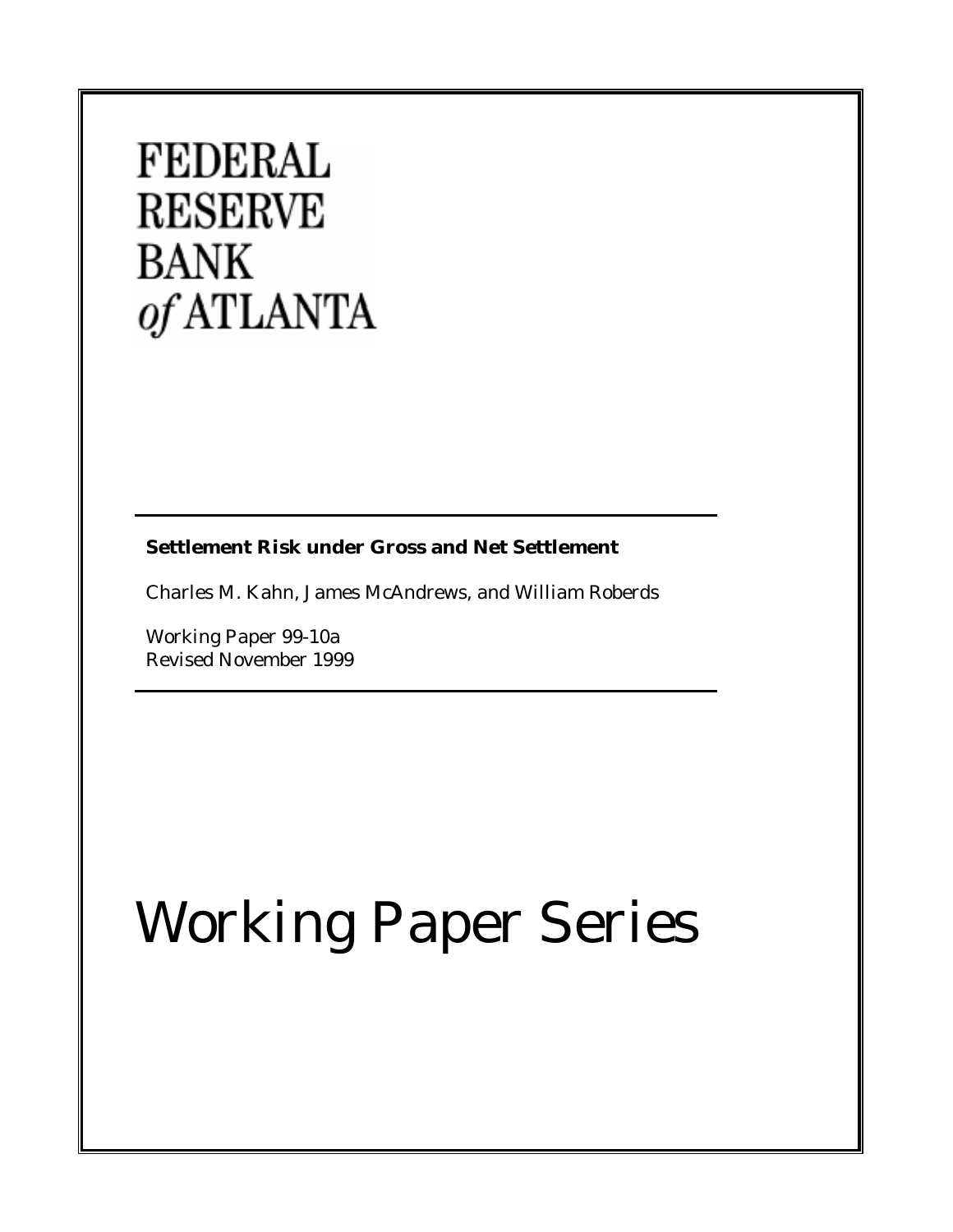## **FEDERAL RESERVE BANK** of ATLANTA

**Settlement Risk under Gross and Net Settlement**

Charles M. Kahn, James McAndrews, and William Roberds

Working Paper 99-10a Revised November 1999

# Working Paper Series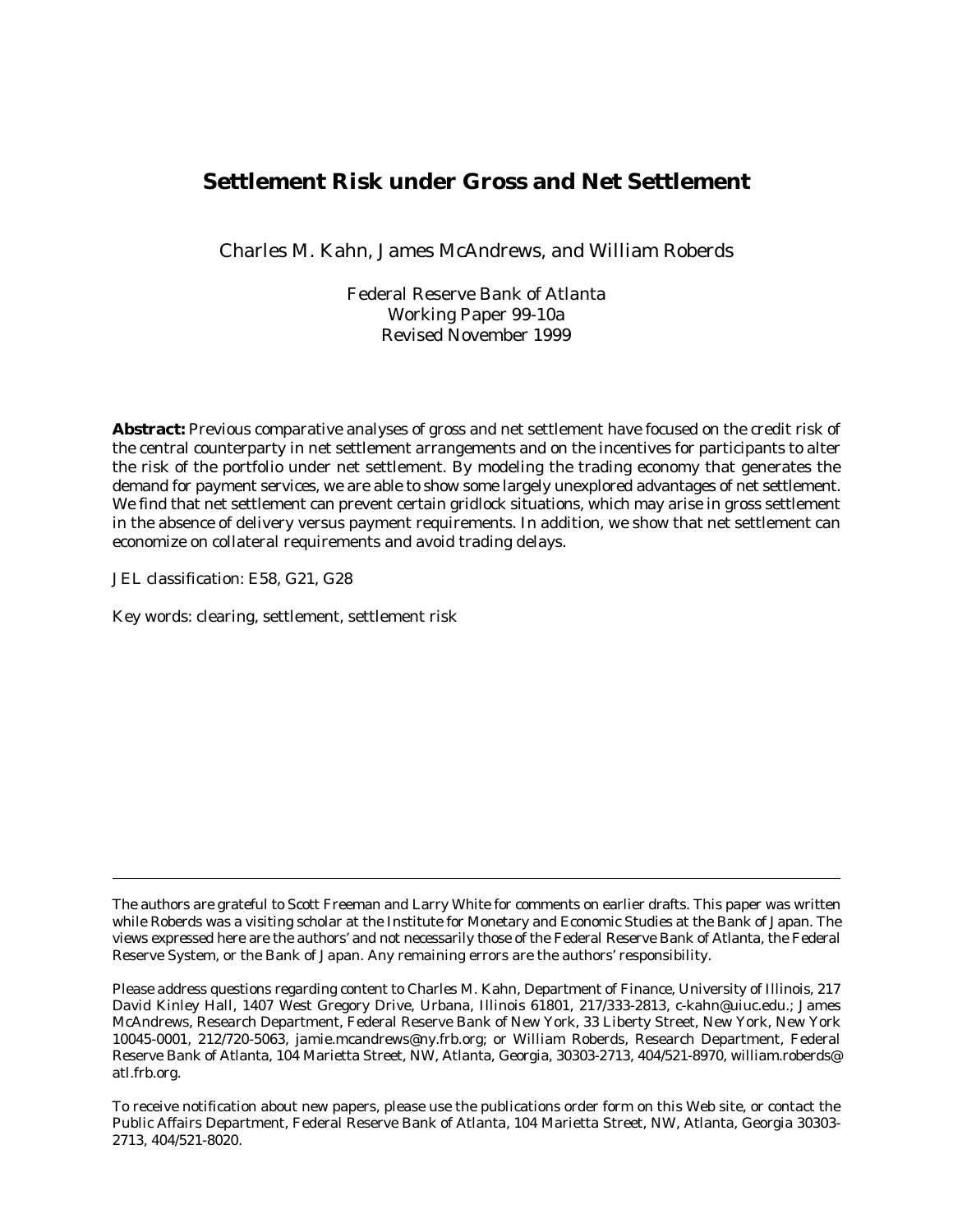### **Settlement Risk under Gross and Net Settlement**

Charles M. Kahn, James McAndrews, and William Roberds

Federal Reserve Bank of Atlanta Working Paper 99-10a Revised November 1999

**Abstract:** Previous comparative analyses of gross and net settlement have focused on the credit risk of the central counterparty in net settlement arrangements and on the incentives for participants to alter the risk of the portfolio under net settlement. By modeling the trading economy that generates the demand for payment services, we are able to show some largely unexplored advantages of net settlement. We find that net settlement can prevent certain gridlock situations, which may arise in gross settlement in the absence of delivery versus payment requirements. In addition, we show that net settlement can economize on collateral requirements and avoid trading delays.

JEL classification: E58, G21, G28

Key words: clearing, settlement, settlement risk

To receive notification about new papers, please use the publications order form on this Web site, or contact the Public Affairs Department, Federal Reserve Bank of Atlanta, 104 Marietta Street, NW, Atlanta, Georgia 30303- 2713, 404/521-8020.

The authors are grateful to Scott Freeman and Larry White for comments on earlier drafts. This paper was written while Roberds was a visiting scholar at the Institute for Monetary and Economic Studies at the Bank of Japan. The views expressed here are the authors' and not necessarily those of the Federal Reserve Bank of Atlanta, the Federal Reserve System, or the Bank of Japan. Any remaining errors are the authors' responsibility.

Please address questions regarding content to Charles M. Kahn, Department of Finance, University of Illinois, 217 David Kinley Hall, 1407 West Gregory Drive, Urbana, Illinois 61801, 217/333-2813, c-kahn@uiuc.edu.; James McAndrews, Research Department, Federal Reserve Bank of New York, 33 Liberty Street, New York, New York 10045-0001, 212/720-5063, jamie.mcandrews@ny.frb.org; or William Roberds, Research Department, Federal Reserve Bank of Atlanta, 104 Marietta Street, NW, Atlanta, Georgia, 30303-2713, 404/521-8970, william.roberds@ atl.frb.org.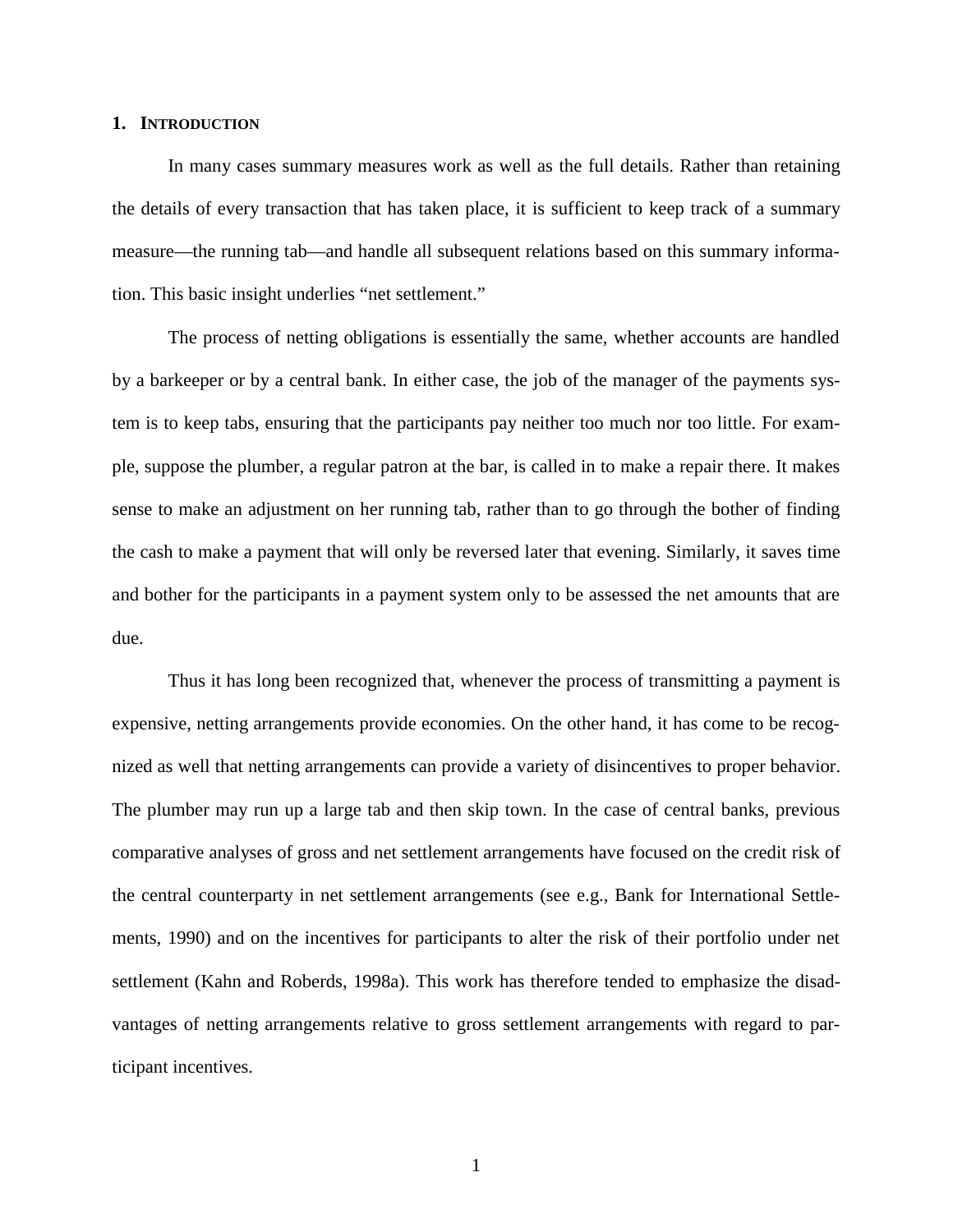#### **1. INTRODUCTION**

In many cases summary measures work as well as the full details. Rather than retaining the details of every transaction that has taken place, it is sufficient to keep track of a summary measure—the running tab—and handle all subsequent relations based on this summary information. This basic insight underlies "net settlement."

The process of netting obligations is essentially the same, whether accounts are handled by a barkeeper or by a central bank. In either case, the job of the manager of the payments system is to keep tabs, ensuring that the participants pay neither too much nor too little. For example, suppose the plumber, a regular patron at the bar, is called in to make a repair there. It makes sense to make an adjustment on her running tab, rather than to go through the bother of finding the cash to make a payment that will only be reversed later that evening. Similarly, it saves time and bother for the participants in a payment system only to be assessed the net amounts that are due.

Thus it has long been recognized that, whenever the process of transmitting a payment is expensive, netting arrangements provide economies. On the other hand, it has come to be recognized as well that netting arrangements can provide a variety of disincentives to proper behavior. The plumber may run up a large tab and then skip town. In the case of central banks, previous comparative analyses of gross and net settlement arrangements have focused on the credit risk of the central counterparty in net settlement arrangements (see e.g., Bank for International Settlements, 1990) and on the incentives for participants to alter the risk of their portfolio under net settlement (Kahn and Roberds, 1998a). This work has therefore tended to emphasize the disadvantages of netting arrangements relative to gross settlement arrangements with regard to participant incentives.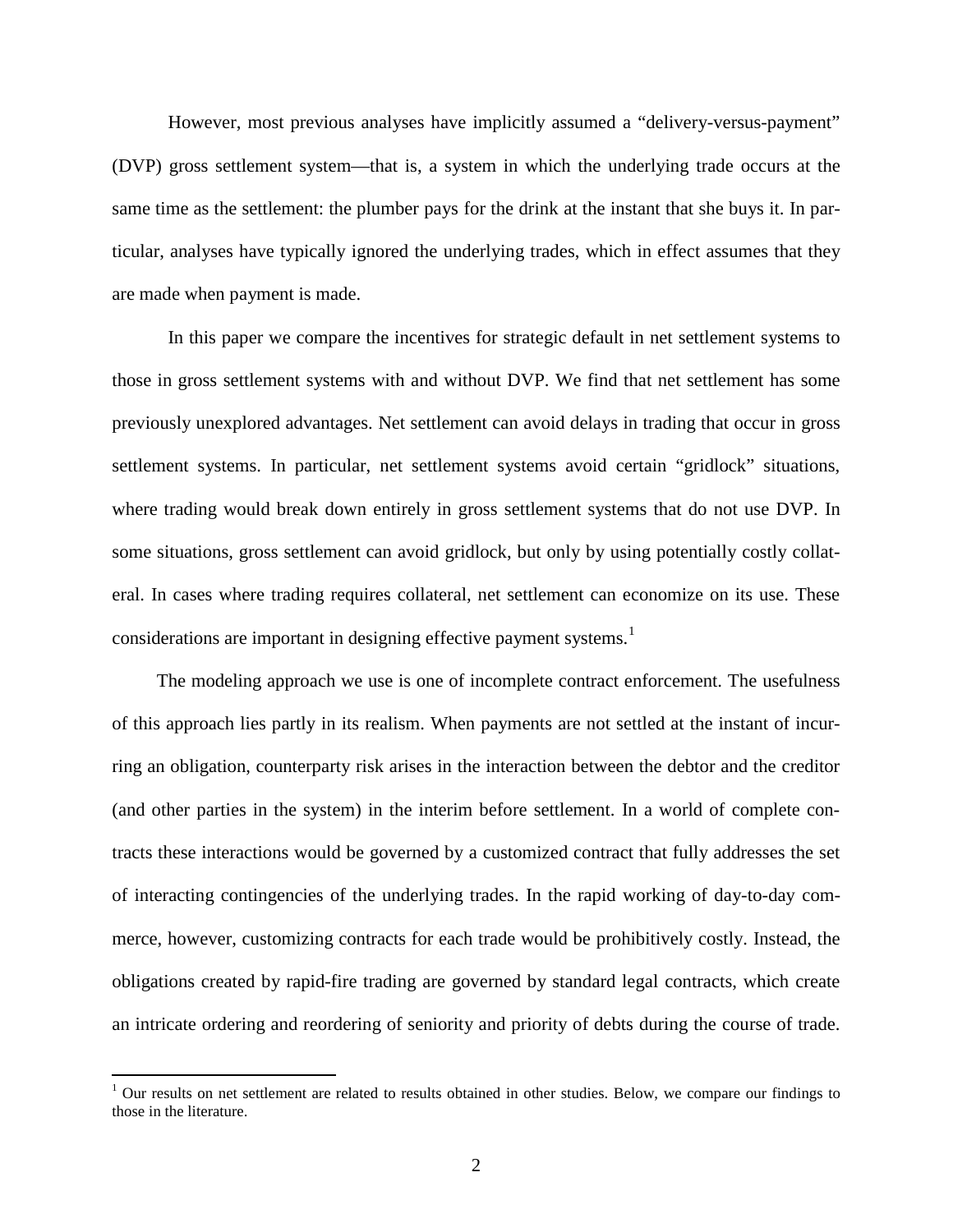However, most previous analyses have implicitly assumed a "delivery-versus-payment" (DVP) gross settlement system—that is, a system in which the underlying trade occurs at the same time as the settlement: the plumber pays for the drink at the instant that she buys it. In particular, analyses have typically ignored the underlying trades, which in effect assumes that they are made when payment is made.

In this paper we compare the incentives for strategic default in net settlement systems to those in gross settlement systems with and without DVP. We find that net settlement has some previously unexplored advantages. Net settlement can avoid delays in trading that occur in gross settlement systems. In particular, net settlement systems avoid certain "gridlock" situations, where trading would break down entirely in gross settlement systems that do not use DVP. In some situations, gross settlement can avoid gridlock, but only by using potentially costly collateral. In cases where trading requires collateral, net settlement can economize on its use. These considerations are important in designing effective payment systems.<sup>1</sup>

The modeling approach we use is one of incomplete contract enforcement. The usefulness of this approach lies partly in its realism. When payments are not settled at the instant of incurring an obligation, counterparty risk arises in the interaction between the debtor and the creditor (and other parties in the system) in the interim before settlement. In a world of complete contracts these interactions would be governed by a customized contract that fully addresses the set of interacting contingencies of the underlying trades. In the rapid working of day-to-day commerce, however, customizing contracts for each trade would be prohibitively costly. Instead, the obligations created by rapid-fire trading are governed by standard legal contracts, which create an intricate ordering and reordering of seniority and priority of debts during the course of trade.

<sup>&</sup>lt;sup>1</sup> Our results on net settlement are related to results obtained in other studies. Below, we compare our findings to those in the literature.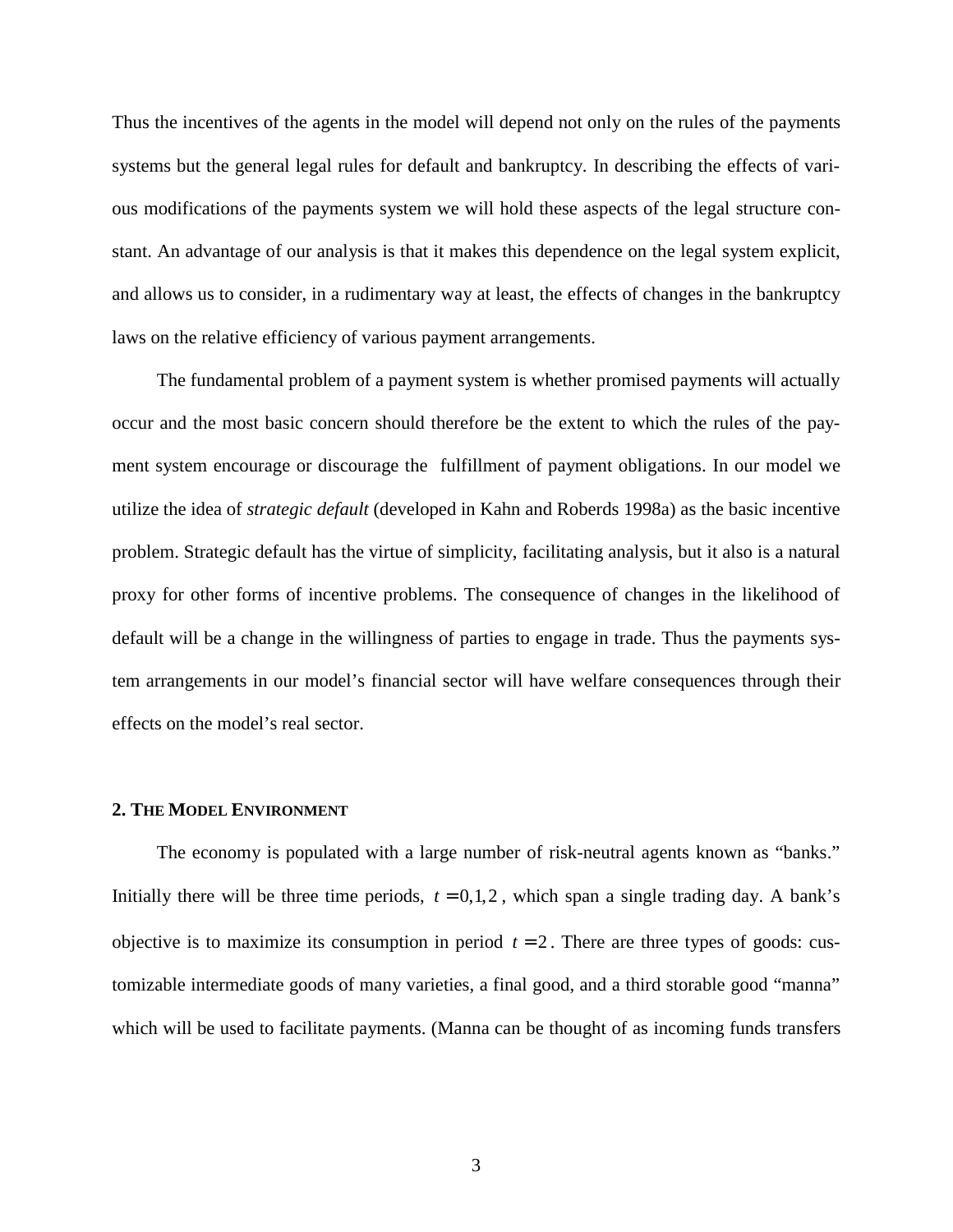Thus the incentives of the agents in the model will depend not only on the rules of the payments systems but the general legal rules for default and bankruptcy. In describing the effects of various modifications of the payments system we will hold these aspects of the legal structure constant. An advantage of our analysis is that it makes this dependence on the legal system explicit, and allows us to consider, in a rudimentary way at least, the effects of changes in the bankruptcy laws on the relative efficiency of various payment arrangements.

The fundamental problem of a payment system is whether promised payments will actually occur and the most basic concern should therefore be the extent to which the rules of the payment system encourage or discourage the fulfillment of payment obligations. In our model we utilize the idea of *strategic default* (developed in Kahn and Roberds 1998a) as the basic incentive problem. Strategic default has the virtue of simplicity, facilitating analysis, but it also is a natural proxy for other forms of incentive problems. The consequence of changes in the likelihood of default will be a change in the willingness of parties to engage in trade. Thus the payments system arrangements in our model's financial sector will have welfare consequences through their effects on the model's real sector.

#### **2. THE MODEL ENVIRONMENT**

The economy is populated with a large number of risk-neutral agents known as "banks." Initially there will be three time periods,  $t = 0, 1, 2$ , which span a single trading day. A bank's objective is to maximize its consumption in period  $t = 2$ . There are three types of goods: customizable intermediate goods of many varieties, a final good, and a third storable good "manna" which will be used to facilitate payments. (Manna can be thought of as incoming funds transfers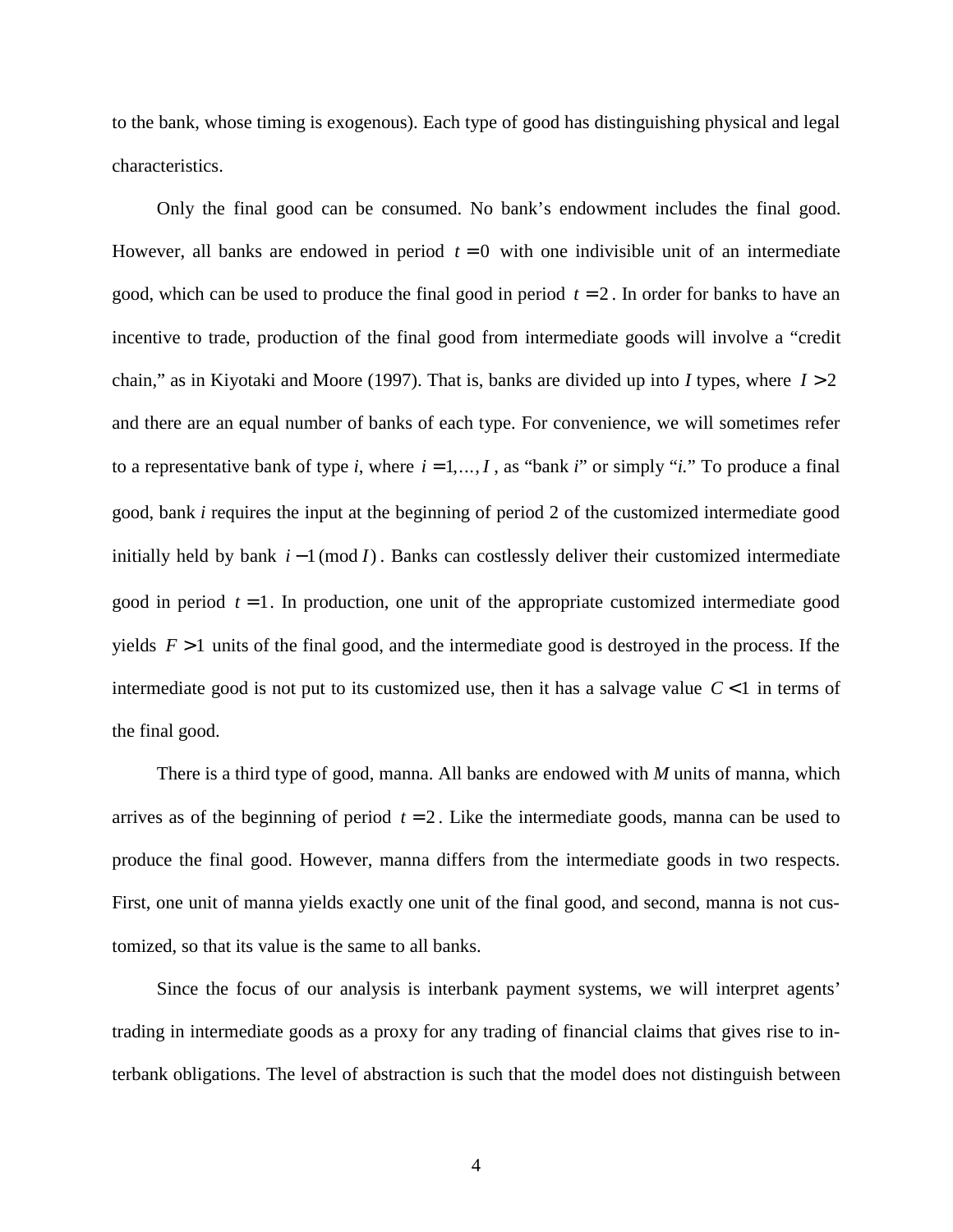to the bank, whose timing is exogenous). Each type of good has distinguishing physical and legal characteristics.

Only the final good can be consumed. No bank's endowment includes the final good. However, all banks are endowed in period  $t = 0$  with one indivisible unit of an intermediate good, which can be used to produce the final good in period  $t = 2$ . In order for banks to have an incentive to trade, production of the final good from intermediate goods will involve a "credit chain," as in Kiyotaki and Moore (1997). That is, banks are divided up into *I* types, where *I* > 2 and there are an equal number of banks of each type. For convenience, we will sometimes refer to a representative bank of type *i*, where  $i = 1, ..., I$ , as "bank *i*" or simply "*i*." To produce a final good, bank *i* requires the input at the beginning of period 2 of the customized intermediate good initially held by bank  $i - 1 \pmod{I}$ . Banks can costlessly deliver their customized intermediate good in period  $t = 1$ . In production, one unit of the appropriate customized intermediate good yields  $F > 1$  units of the final good, and the intermediate good is destroyed in the process. If the intermediate good is not put to its customized use, then it has a salvage value  $C < 1$  in terms of the final good.

There is a third type of good, manna. All banks are endowed with *M* units of manna, which arrives as of the beginning of period  $t = 2$ . Like the intermediate goods, manna can be used to produce the final good. However, manna differs from the intermediate goods in two respects. First, one unit of manna yields exactly one unit of the final good, and second, manna is not customized, so that its value is the same to all banks.

Since the focus of our analysis is interbank payment systems, we will interpret agents' trading in intermediate goods as a proxy for any trading of financial claims that gives rise to interbank obligations. The level of abstraction is such that the model does not distinguish between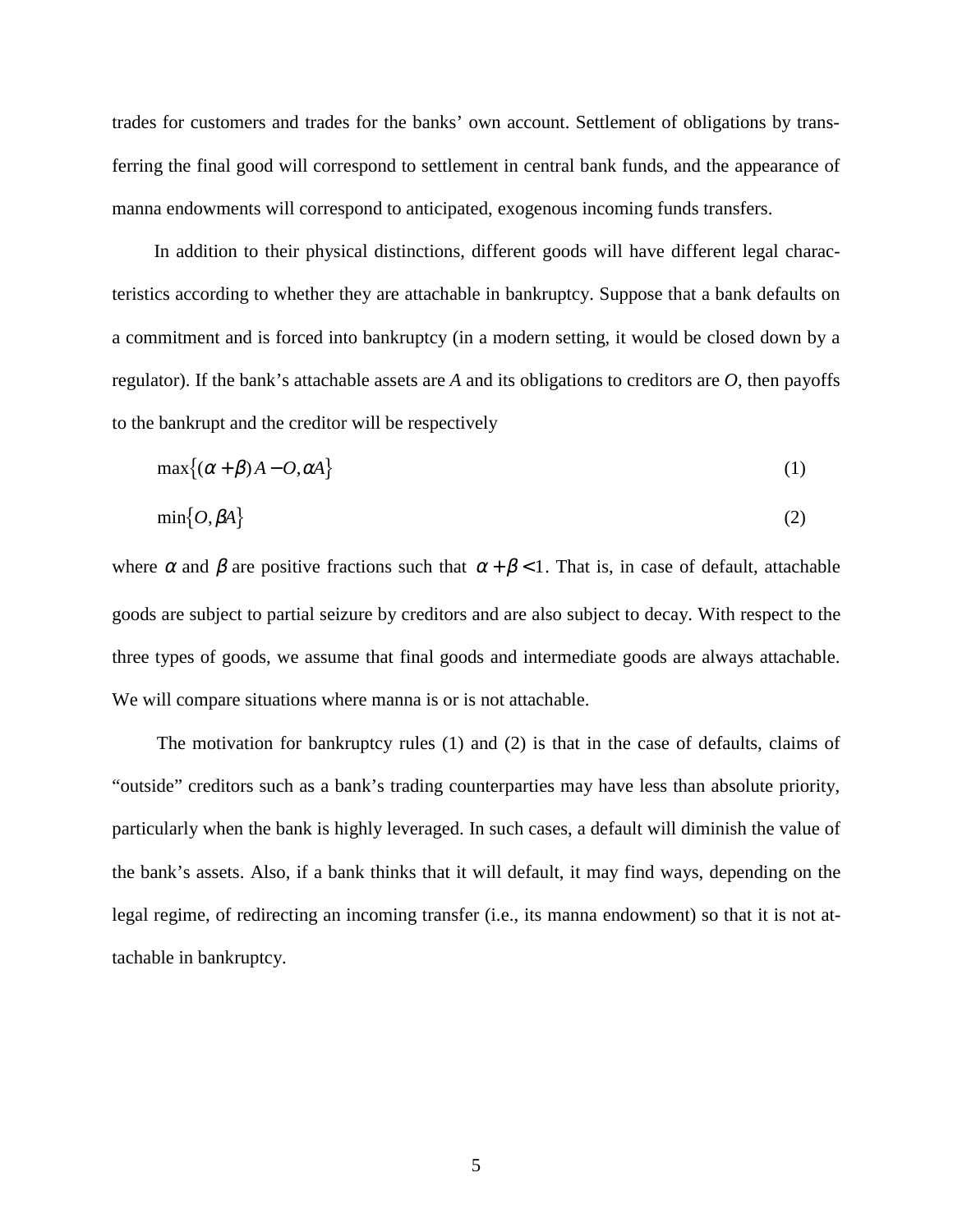trades for customers and trades for the banks' own account. Settlement of obligations by transferring the final good will correspond to settlement in central bank funds, and the appearance of manna endowments will correspond to anticipated, exogenous incoming funds transfers.

In addition to their physical distinctions, different goods will have different legal characteristics according to whether they are attachable in bankruptcy. Suppose that a bank defaults on a commitment and is forced into bankruptcy (in a modern setting, it would be closed down by a regulator). If the bank's attachable assets are *A* and its obligations to creditors are *O*, then payoffs to the bankrupt and the creditor will be respectively

$$
\max\{(\alpha + \beta)A - O, \alpha A\}
$$
 (1)

$$
\min\{O, \beta A\} \tag{2}
$$

where  $\alpha$  and  $\beta$  are positive fractions such that  $\alpha + \beta < 1$ . That is, in case of default, attachable goods are subject to partial seizure by creditors and are also subject to decay. With respect to the three types of goods, we assume that final goods and intermediate goods are always attachable. We will compare situations where manna is or is not attachable.

The motivation for bankruptcy rules (1) and (2) is that in the case of defaults, claims of "outside" creditors such as a bank's trading counterparties may have less than absolute priority, particularly when the bank is highly leveraged. In such cases, a default will diminish the value of the bank's assets. Also, if a bank thinks that it will default, it may find ways, depending on the legal regime, of redirecting an incoming transfer (i.e., its manna endowment) so that it is not attachable in bankruptcy.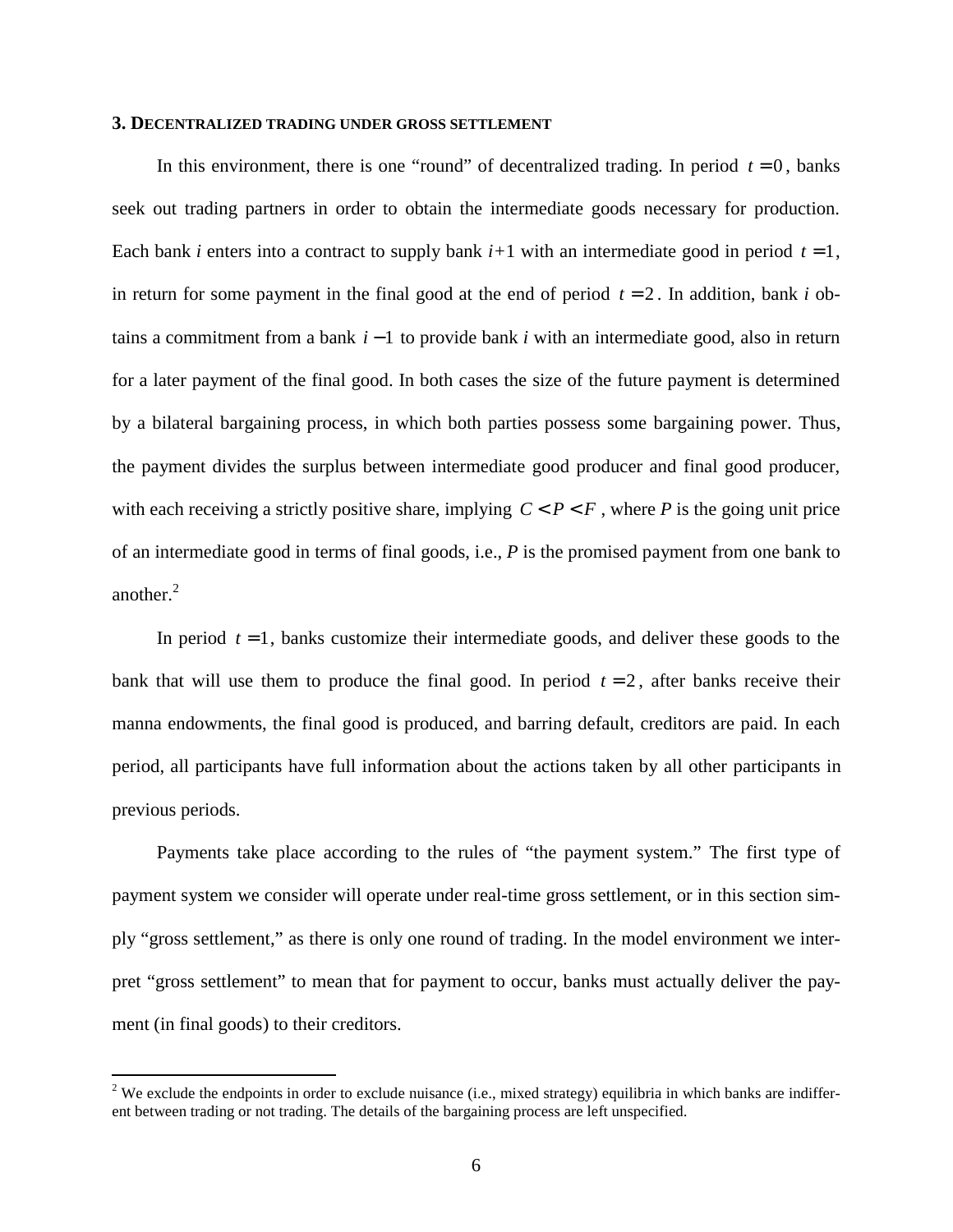#### **3. DECENTRALIZED TRADING UNDER GROSS SETTLEMENT**

In this environment, there is one "round" of decentralized trading. In period  $t = 0$ , banks seek out trading partners in order to obtain the intermediate goods necessary for production. Each bank *i* enters into a contract to supply bank  $i+1$  with an intermediate good in period  $t = 1$ , in return for some payment in the final good at the end of period  $t = 2$ . In addition, bank *i* obtains a commitment from a bank *i* −1 to provide bank *i* with an intermediate good, also in return for a later payment of the final good. In both cases the size of the future payment is determined by a bilateral bargaining process, in which both parties possess some bargaining power. Thus, the payment divides the surplus between intermediate good producer and final good producer, with each receiving a strictly positive share, implying  $C < P < F$ , where P is the going unit price of an intermediate good in terms of final goods, i.e., *P* is the promised payment from one bank to another.<sup>2</sup>

In period  $t = 1$ , banks customize their intermediate goods, and deliver these goods to the bank that will use them to produce the final good. In period  $t = 2$ , after banks receive their manna endowments, the final good is produced, and barring default, creditors are paid. In each period, all participants have full information about the actions taken by all other participants in previous periods.

Payments take place according to the rules of "the payment system." The first type of payment system we consider will operate under real-time gross settlement, or in this section simply "gross settlement," as there is only one round of trading. In the model environment we interpret "gross settlement" to mean that for payment to occur, banks must actually deliver the payment (in final goods) to their creditors.

<sup>&</sup>lt;sup>2</sup> We exclude the endpoints in order to exclude nuisance (i.e., mixed strategy) equilibria in which banks are indifferent between trading or not trading. The details of the bargaining process are left unspecified.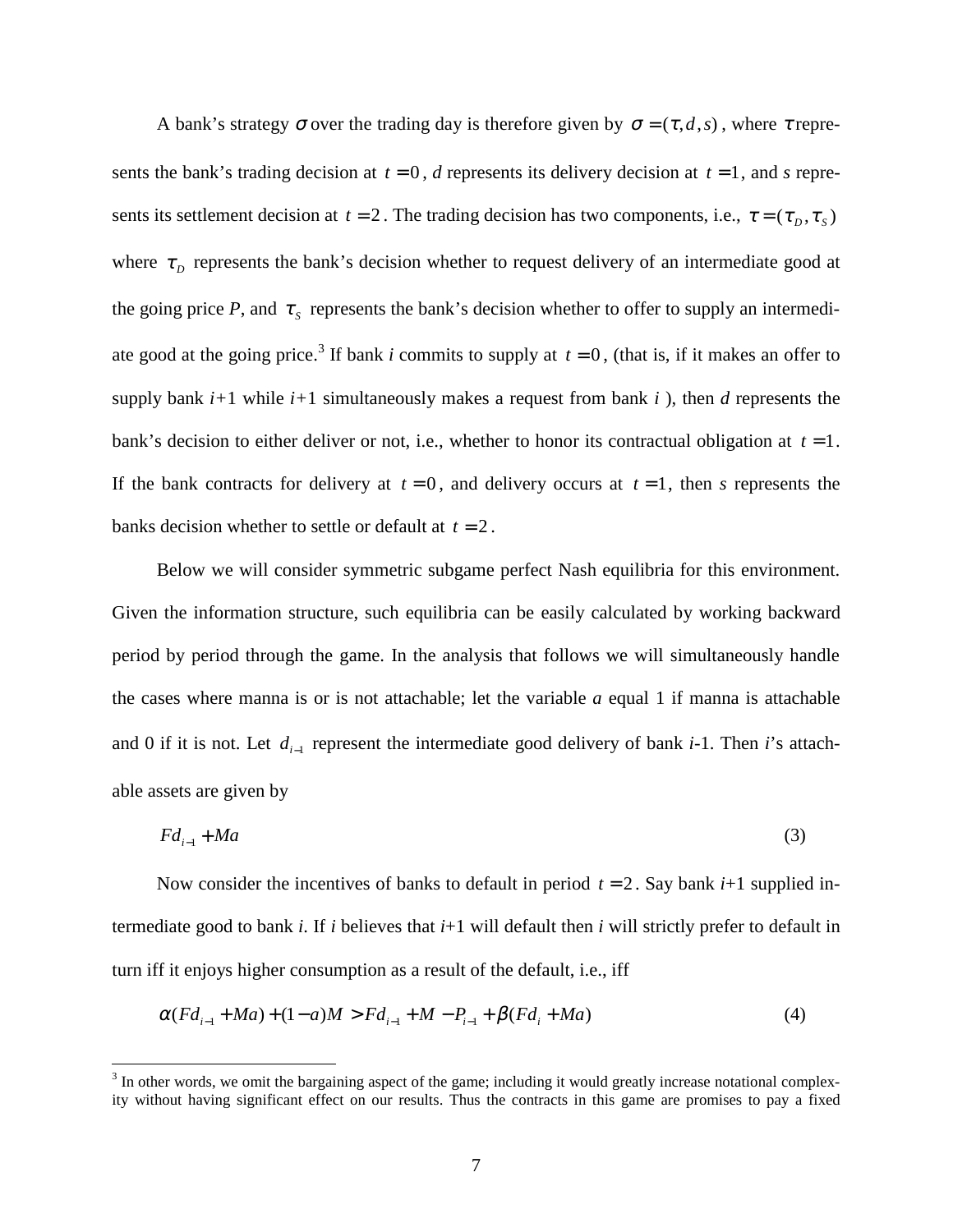A bank's strategy  $\sigma$  over the trading day is therefore given by  $\sigma = (\tau, d, s)$ , where  $\tau$  represents the bank's trading decision at  $t = 0$ , *d* represents its delivery decision at  $t = 1$ , and *s* represents its settlement decision at  $t = 2$ . The trading decision has two components, i.e.,  $\tau = (\tau_D, \tau_S)$ where  $\tau_p$  represents the bank's decision whether to request delivery of an intermediate good at the going price *P*, and  $\tau_s$  represents the bank's decision whether to offer to supply an intermediate good at the going price.<sup>3</sup> If bank *i* commits to supply at  $t = 0$ , (that is, if it makes an offer to supply bank  $i+1$  while  $i+1$  simultaneously makes a request from bank  $i$ ), then  $d$  represents the bank's decision to either deliver or not, i.e., whether to honor its contractual obligation at *t* = 1. If the bank contracts for delivery at  $t = 0$ , and delivery occurs at  $t = 1$ , then *s* represents the banks decision whether to settle or default at  $t = 2$ .

Below we will consider symmetric subgame perfect Nash equilibria for this environment. Given the information structure, such equilibria can be easily calculated by working backward period by period through the game. In the analysis that follows we will simultaneously handle the cases where manna is or is not attachable; let the variable *a* equal 1 if manna is attachable and 0 if it is not. Let *di*−1 represent the intermediate good delivery of bank *i*-1. Then *i*'s attachable assets are given by

$$
Fd_{i-1} + Ma \tag{3}
$$

Now consider the incentives of banks to default in period  $t = 2$ . Say bank  $i+1$  supplied intermediate good to bank *i*. If *i* believes that  $i+1$  will default then *i* will strictly prefer to default in turn iff it enjoys higher consumption as a result of the default, i.e., iff

$$
\alpha (Fd_{i-1} + Ma) + (1-a)M > Fd_{i-1} + M - P_{i-1} + \beta (Fd_i + Ma)
$$
\n<sup>(4)</sup>

 $\overline{a}$ 

 $3$  In other words, we omit the bargaining aspect of the game; including it would greatly increase notational complexity without having significant effect on our results. Thus the contracts in this game are promises to pay a fixed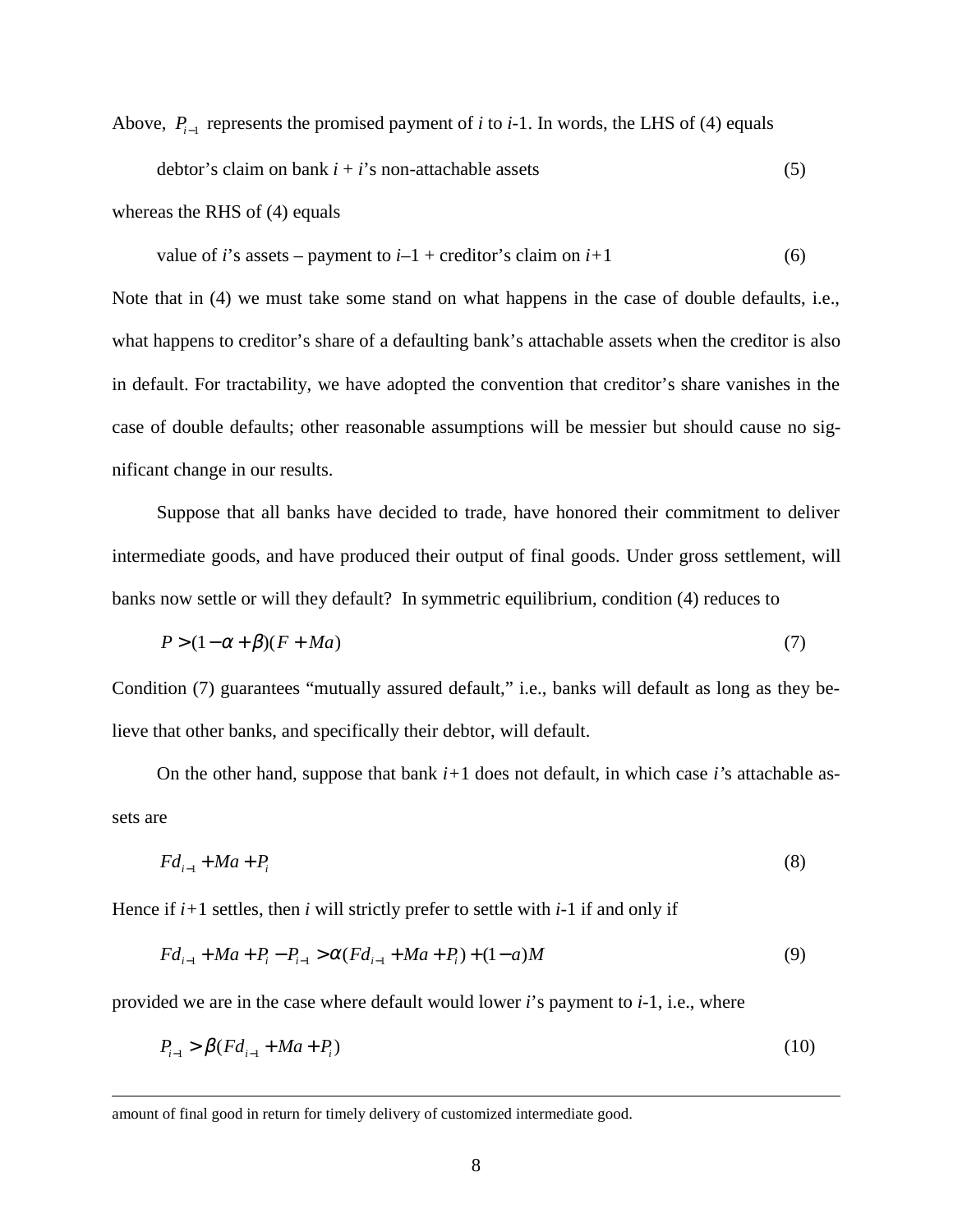Above,  $P_{i-1}$  represents the promised payment of *i* to *i*-1. In words, the LHS of (4) equals debtor's claim on bank  $i + i$ 's non-attachable assets (5)

whereas the RHS of (4) equals

value of *i*'s assets – payment to  $i-1$  + creditor's claim on  $i+1$  (6)

Note that in (4) we must take some stand on what happens in the case of double defaults, i.e., what happens to creditor's share of a defaulting bank's attachable assets when the creditor is also in default. For tractability, we have adopted the convention that creditor's share vanishes in the case of double defaults; other reasonable assumptions will be messier but should cause no significant change in our results.

Suppose that all banks have decided to trade, have honored their commitment to deliver intermediate goods, and have produced their output of final goods. Under gross settlement, will banks now settle or will they default? In symmetric equilibrium, condition (4) reduces to

$$
P > (1 - \alpha + \beta)(F + Ma) \tag{7}
$$

Condition (7) guarantees "mutually assured default," i.e., banks will default as long as they believe that other banks, and specifically their debtor, will default.

On the other hand, suppose that bank *i+*1 does not default, in which case *i'*s attachable assets are

$$
Fd_{i-1} + Ma + P_i \tag{8}
$$

Hence if *i+*1 settles, then *i* will strictly prefer to settle with *i-*1 if and only if

$$
Fd_{i-1} + Ma + P_i - P_{i-1} > \alpha (Fd_{i-1} + Ma + P_i) + (1 - a)M
$$
\n(9)

provided we are in the case where default would lower *i*'s payment to *i-*1, i.e., where

$$
P_{i-1} > \beta (Fd_{i-1} + Ma + P_i)
$$
\n(10)

amount of final good in return for timely delivery of customized intermediate good.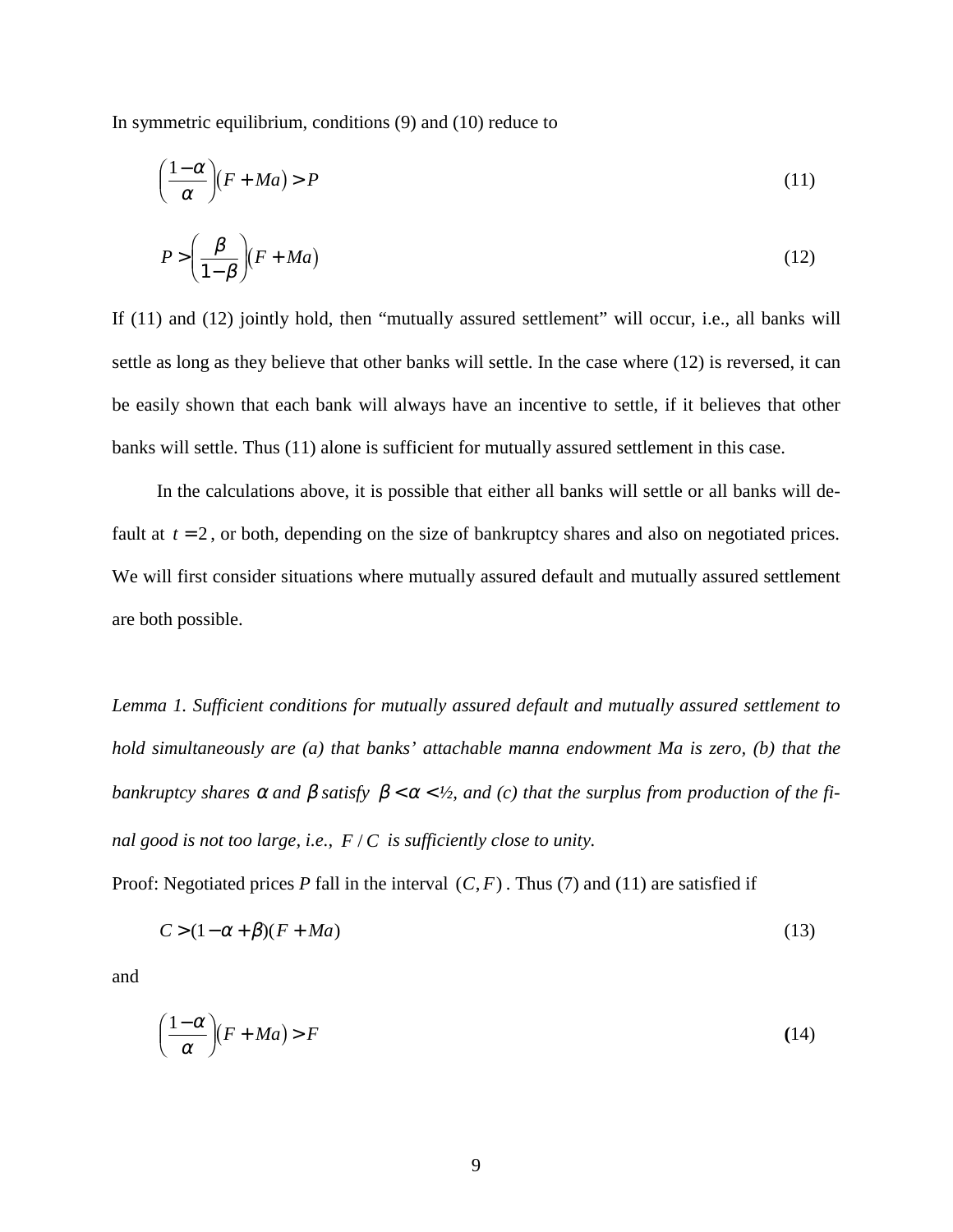In symmetric equilibrium, conditions (9) and (10) reduce to

$$
\left(\frac{1-\alpha}{\alpha}\right)(F+Ma) > P\tag{11}
$$

$$
P > \left(\frac{\beta}{1-\beta}\right)(F+Ma) \tag{12}
$$

If (11) and (12) jointly hold, then "mutually assured settlement" will occur, i.e., all banks will settle as long as they believe that other banks will settle. In the case where (12) is reversed, it can be easily shown that each bank will always have an incentive to settle, if it believes that other banks will settle. Thus (11) alone is sufficient for mutually assured settlement in this case.

In the calculations above, it is possible that either all banks will settle or all banks will default at  $t = 2$ , or both, depending on the size of bankruptcy shares and also on negotiated prices. We will first consider situations where mutually assured default and mutually assured settlement are both possible.

*Lemma 1. Sufficient conditions for mutually assured default and mutually assured settlement to hold simultaneously are (a) that banks' attachable manna endowment Ma is zero, (b) that the bankruptcy shares*  $\alpha$  *and*  $\beta$  *satisfy*  $\beta < \alpha < \frac{1}{2}$ *, and* (*c*) *that the surplus from production of the final good is not too large, i.e., F/C is sufficiently close to unity.* 

Proof: Negotiated prices *P* fall in the interval  $(C, F)$ . Thus (7) and (11) are satisfied if

$$
C > (1 - \alpha + \beta)(F + Ma) \tag{13}
$$

and

$$
\left(\frac{1-\alpha}{\alpha}\right)(F+Ma) > F\tag{14}
$$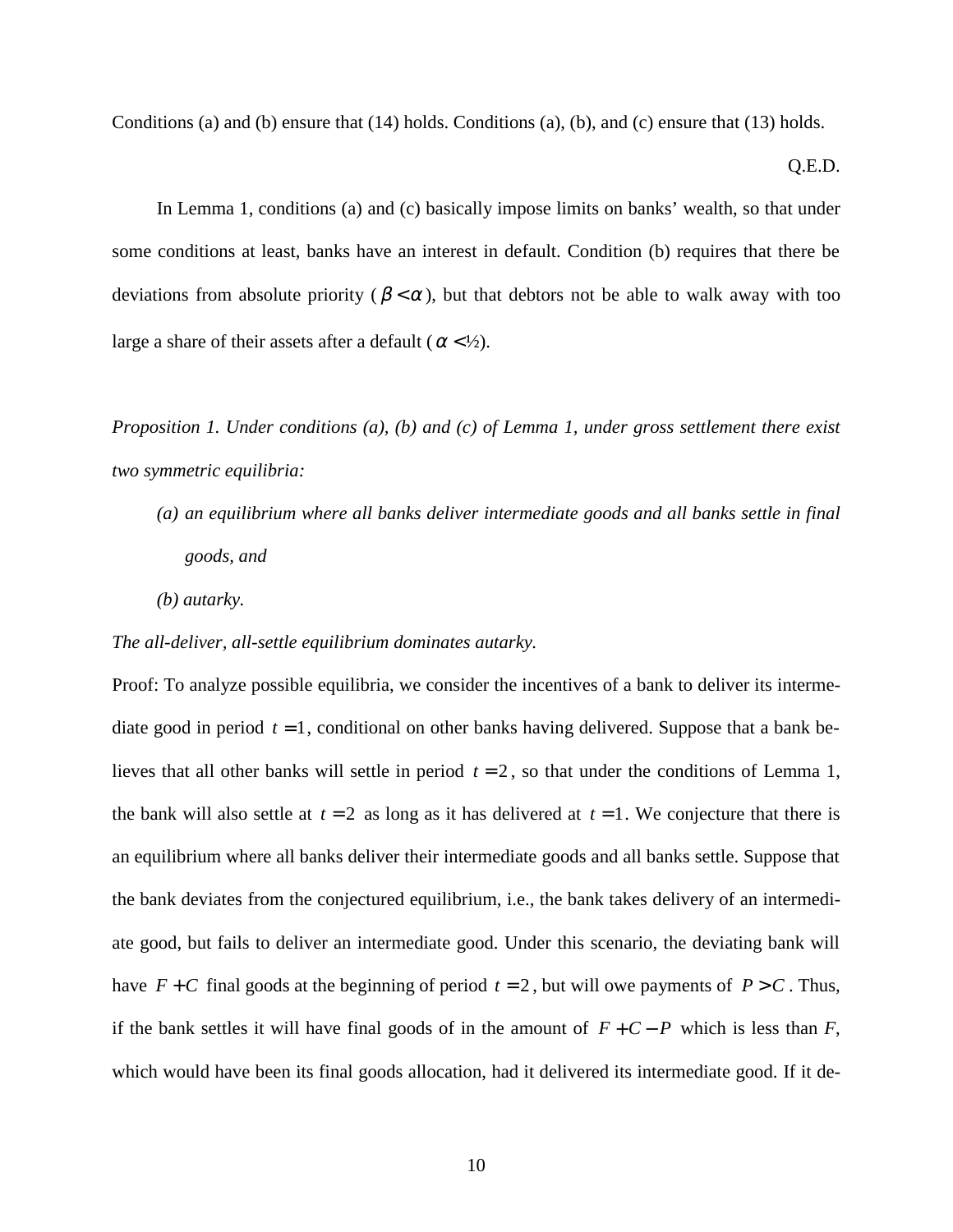Conditions (a) and (b) ensure that (14) holds. Conditions (a), (b), and (c) ensure that (13) holds.

#### Q.E.D.

In Lemma 1, conditions (a) and (c) basically impose limits on banks' wealth, so that under some conditions at least, banks have an interest in default. Condition (b) requires that there be deviations from absolute priority ( $\beta < \alpha$ ), but that debtors not be able to walk away with too large a share of their assets after a default ( $\alpha$  < 1/2).

*Proposition 1. Under conditions (a), (b) and (c) of Lemma 1, under gross settlement there exist two symmetric equilibria:*

- *(a) an equilibrium where all banks deliver intermediate goods and all banks settle in final goods, and*
- *(b) autarky.*

#### *The all-deliver, all-settle equilibrium dominates autarky.*

Proof: To analyze possible equilibria, we consider the incentives of a bank to deliver its intermediate good in period  $t = 1$ , conditional on other banks having delivered. Suppose that a bank believes that all other banks will settle in period  $t = 2$ , so that under the conditions of Lemma 1, the bank will also settle at  $t = 2$  as long as it has delivered at  $t = 1$ . We conjecture that there is an equilibrium where all banks deliver their intermediate goods and all banks settle. Suppose that the bank deviates from the conjectured equilibrium, i.e., the bank takes delivery of an intermediate good, but fails to deliver an intermediate good. Under this scenario, the deviating bank will have  $F + C$  final goods at the beginning of period  $t = 2$ , but will owe payments of  $P > C$ . Thus, if the bank settles it will have final goods of in the amount of  $F + C - P$  which is less than *F*, which would have been its final goods allocation, had it delivered its intermediate good. If it de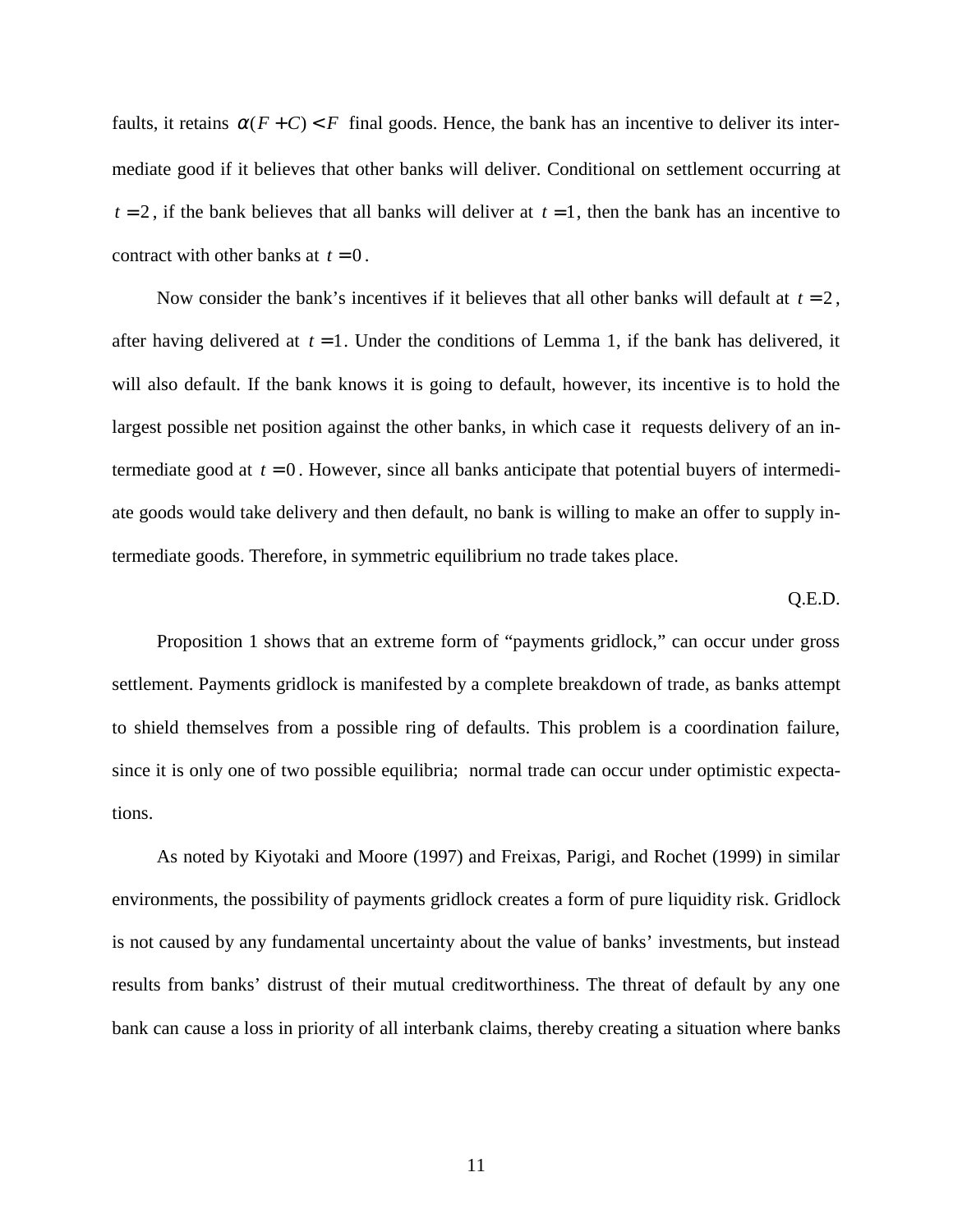faults, it retains  $\alpha(F+C) < F$  final goods. Hence, the bank has an incentive to deliver its intermediate good if it believes that other banks will deliver. Conditional on settlement occurring at  $t = 2$ , if the bank believes that all banks will deliver at  $t = 1$ , then the bank has an incentive to contract with other banks at  $t = 0$ .

Now consider the bank's incentives if it believes that all other banks will default at  $t = 2$ , after having delivered at  $t = 1$ . Under the conditions of Lemma 1, if the bank has delivered, it will also default. If the bank knows it is going to default, however, its incentive is to hold the largest possible net position against the other banks, in which case it requests delivery of an intermediate good at  $t = 0$ . However, since all banks anticipate that potential buyers of intermediate goods would take delivery and then default, no bank is willing to make an offer to supply intermediate goods. Therefore, in symmetric equilibrium no trade takes place.

#### Q.E.D.

Proposition 1 shows that an extreme form of "payments gridlock," can occur under gross settlement. Payments gridlock is manifested by a complete breakdown of trade, as banks attempt to shield themselves from a possible ring of defaults. This problem is a coordination failure, since it is only one of two possible equilibria; normal trade can occur under optimistic expectations.

As noted by Kiyotaki and Moore (1997) and Freixas, Parigi, and Rochet (1999) in similar environments, the possibility of payments gridlock creates a form of pure liquidity risk. Gridlock is not caused by any fundamental uncertainty about the value of banks' investments, but instead results from banks' distrust of their mutual creditworthiness. The threat of default by any one bank can cause a loss in priority of all interbank claims, thereby creating a situation where banks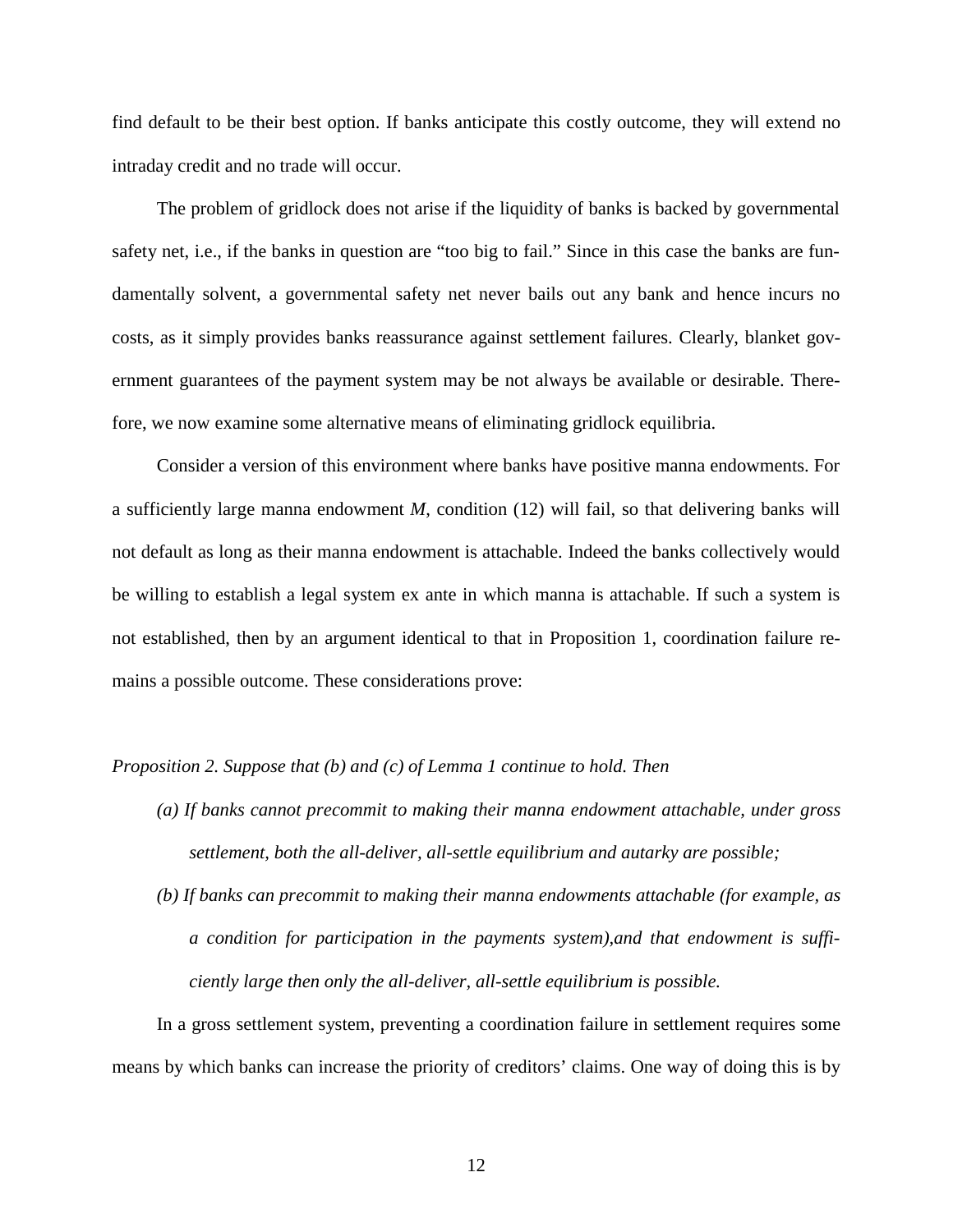find default to be their best option. If banks anticipate this costly outcome, they will extend no intraday credit and no trade will occur.

The problem of gridlock does not arise if the liquidity of banks is backed by governmental safety net, i.e., if the banks in question are "too big to fail." Since in this case the banks are fundamentally solvent, a governmental safety net never bails out any bank and hence incurs no costs, as it simply provides banks reassurance against settlement failures. Clearly, blanket government guarantees of the payment system may be not always be available or desirable. Therefore, we now examine some alternative means of eliminating gridlock equilibria.

Consider a version of this environment where banks have positive manna endowments. For a sufficiently large manna endowment *M*, condition (12) will fail, so that delivering banks will not default as long as their manna endowment is attachable. Indeed the banks collectively would be willing to establish a legal system ex ante in which manna is attachable. If such a system is not established, then by an argument identical to that in Proposition 1, coordination failure remains a possible outcome. These considerations prove:

#### *Proposition 2. Suppose that (b) and (c) of Lemma 1 continue to hold. Then*

- *(a) If banks cannot precommit to making their manna endowment attachable, under gross settlement, both the all-deliver, all-settle equilibrium and autarky are possible;*
- *(b) If banks can precommit to making their manna endowments attachable (for example, as a condition for participation in the payments system),and that endowment is sufficiently large then only the all-deliver, all-settle equilibrium is possible.*

In a gross settlement system, preventing a coordination failure in settlement requires some means by which banks can increase the priority of creditors' claims. One way of doing this is by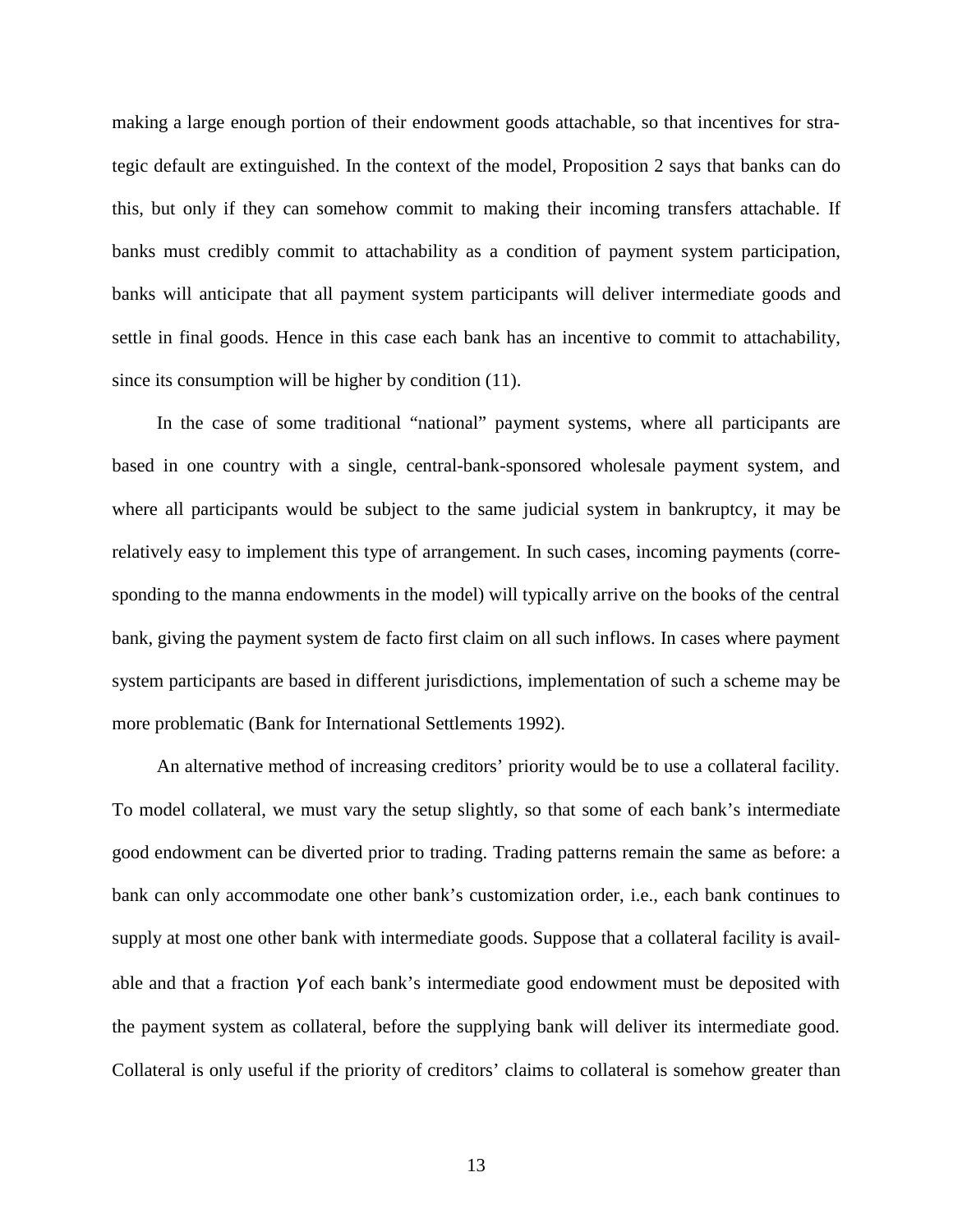making a large enough portion of their endowment goods attachable, so that incentives for strategic default are extinguished. In the context of the model, Proposition 2 says that banks can do this, but only if they can somehow commit to making their incoming transfers attachable. If banks must credibly commit to attachability as a condition of payment system participation, banks will anticipate that all payment system participants will deliver intermediate goods and settle in final goods. Hence in this case each bank has an incentive to commit to attachability, since its consumption will be higher by condition (11).

In the case of some traditional "national" payment systems, where all participants are based in one country with a single, central-bank-sponsored wholesale payment system, and where all participants would be subject to the same judicial system in bankruptcy, it may be relatively easy to implement this type of arrangement. In such cases, incoming payments (corresponding to the manna endowments in the model) will typically arrive on the books of the central bank, giving the payment system de facto first claim on all such inflows. In cases where payment system participants are based in different jurisdictions, implementation of such a scheme may be more problematic (Bank for International Settlements 1992).

An alternative method of increasing creditors' priority would be to use a collateral facility. To model collateral, we must vary the setup slightly, so that some of each bank's intermediate good endowment can be diverted prior to trading. Trading patterns remain the same as before: a bank can only accommodate one other bank's customization order, i.e., each bank continues to supply at most one other bank with intermediate goods. Suppose that a collateral facility is available and that a fraction  $\gamma$  of each bank's intermediate good endowment must be deposited with the payment system as collateral, before the supplying bank will deliver its intermediate good. Collateral is only useful if the priority of creditors' claims to collateral is somehow greater than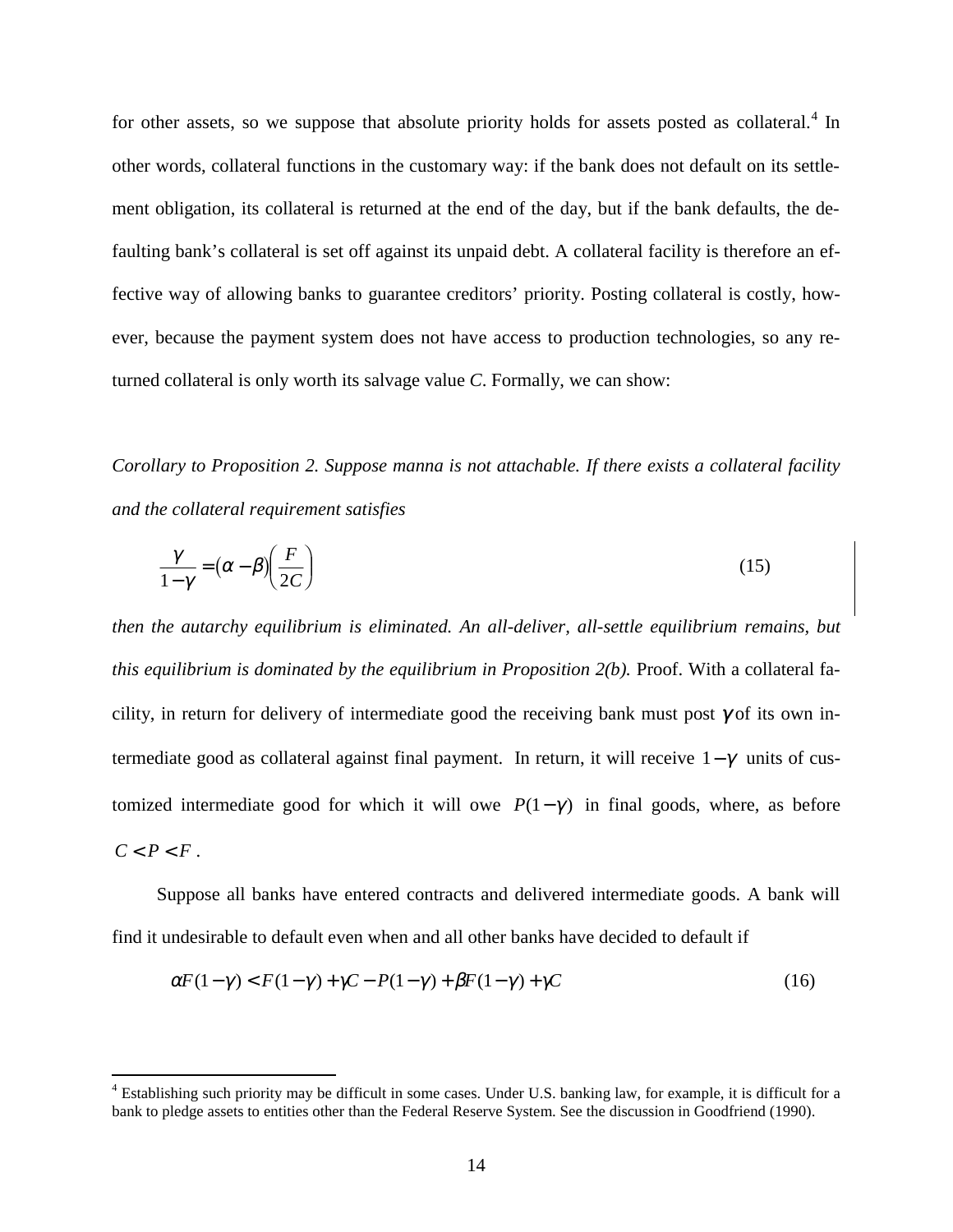for other assets, so we suppose that absolute priority holds for assets posted as collateral.<sup>4</sup> In other words, collateral functions in the customary way: if the bank does not default on its settlement obligation, its collateral is returned at the end of the day, but if the bank defaults, the defaulting bank's collateral is set off against its unpaid debt. A collateral facility is therefore an effective way of allowing banks to guarantee creditors' priority. Posting collateral is costly, however, because the payment system does not have access to production technologies, so any returned collateral is only worth its salvage value *C*. Formally, we can show:

*Corollary to Proposition 2. Suppose manna is not attachable. If there exists a collateral facility and the collateral requirement satisfies*

$$
\frac{\gamma}{1-\gamma} = (\alpha - \beta) \left(\frac{F}{2C}\right)
$$
\n(15)

*then the autarchy equilibrium is eliminated. An all-deliver, all-settle equilibrium remains, but this equilibrium is dominated by the equilibrium in Proposition 2(b).* Proof. With a collateral facility, in return for delivery of intermediate good the receiving bank must post  $\gamma$  of its own intermediate good as collateral against final payment. In return, it will receive  $1-\gamma$  units of customized intermediate good for which it will owe  $P(1-\gamma)$  in final goods, where, as before  $C < P < F$ .

Suppose all banks have entered contracts and delivered intermediate goods. A bank will find it undesirable to default even when and all other banks have decided to default if

$$
\alpha F(1-\gamma) < F(1-\gamma) + \gamma C - P(1-\gamma) + \beta F(1-\gamma) + \gamma C \tag{16}
$$

 4 Establishing such priority may be difficult in some cases. Under U.S. banking law, for example, it is difficult for a bank to pledge assets to entities other than the Federal Reserve System. See the discussion in Goodfriend (1990).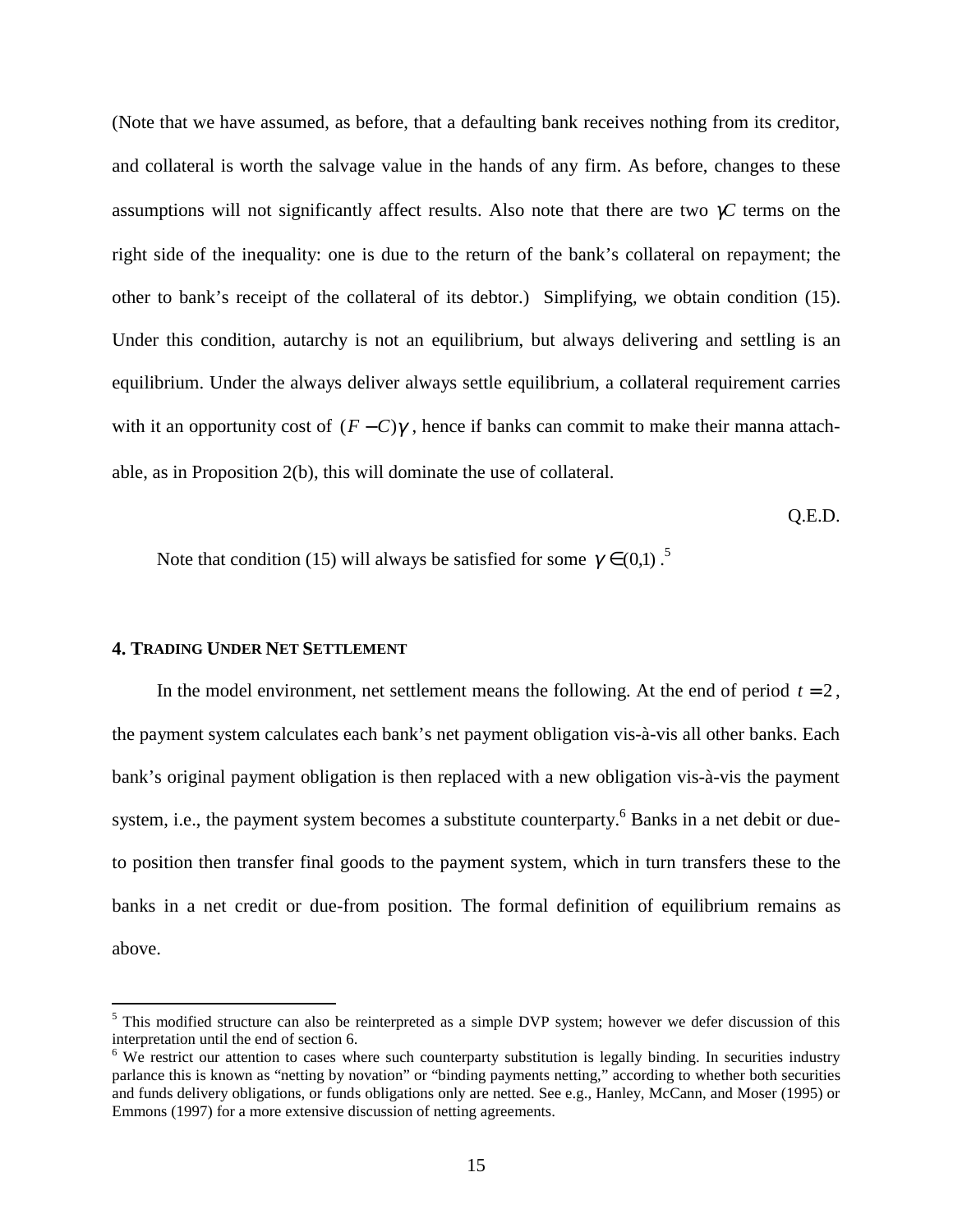(Note that we have assumed, as before, that a defaulting bank receives nothing from its creditor, and collateral is worth the salvage value in the hands of any firm. As before, changes to these assumptions will not significantly affect results. Also note that there are two γ*C* terms on the right side of the inequality: one is due to the return of the bank's collateral on repayment; the other to bank's receipt of the collateral of its debtor.) Simplifying, we obtain condition (15). Under this condition, autarchy is not an equilibrium, but always delivering and settling is an equilibrium. Under the always deliver always settle equilibrium, a collateral requirement carries with it an opportunity cost of  $(F - C)\gamma$ , hence if banks can commit to make their manna attachable, as in Proposition 2(b), this will dominate the use of collateral.

Q.E.D.

Note that condition (15) will always be satisfied for some  $\gamma \in (0,1)$ .<sup>5</sup>

#### **4. TRADING UNDER NET SETTLEMENT**

 $\overline{a}$ 

In the model environment, net settlement means the following. At the end of period  $t = 2$ , the payment system calculates each bank's net payment obligation vis-à-vis all other banks. Each bank's original payment obligation is then replaced with a new obligation vis-à-vis the payment system, i.e., the payment system becomes a substitute counterparty.<sup>6</sup> Banks in a net debit or dueto position then transfer final goods to the payment system, which in turn transfers these to the banks in a net credit or due-from position. The formal definition of equilibrium remains as above.

<sup>&</sup>lt;sup>5</sup> This modified structure can also be reinterpreted as a simple DVP system; however we defer discussion of this interpretation until the end of section 6.

<sup>&</sup>lt;sup>6</sup> We restrict our attention to cases where such counterparty substitution is legally binding. In securities industry parlance this is known as "netting by novation" or "binding payments netting," according to whether both securities and funds delivery obligations, or funds obligations only are netted. See e.g., Hanley, McCann, and Moser (1995) or Emmons (1997) for a more extensive discussion of netting agreements.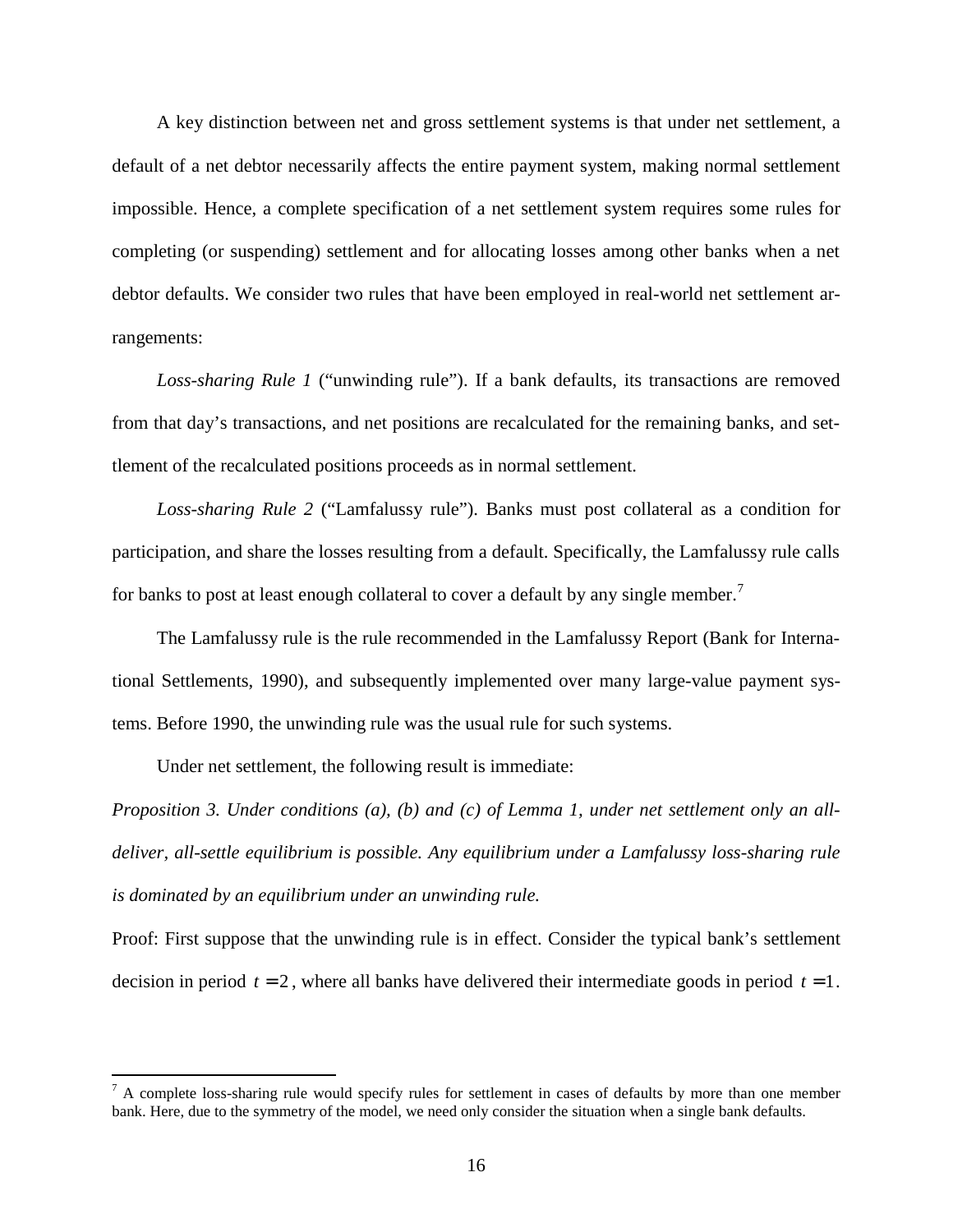A key distinction between net and gross settlement systems is that under net settlement, a default of a net debtor necessarily affects the entire payment system, making normal settlement impossible. Hence, a complete specification of a net settlement system requires some rules for completing (or suspending) settlement and for allocating losses among other banks when a net debtor defaults. We consider two rules that have been employed in real-world net settlement arrangements:

*Loss-sharing Rule 1* ("unwinding rule"). If a bank defaults, its transactions are removed from that day's transactions, and net positions are recalculated for the remaining banks, and settlement of the recalculated positions proceeds as in normal settlement.

*Loss-sharing Rule 2* ("Lamfalussy rule"). Banks must post collateral as a condition for participation, and share the losses resulting from a default. Specifically, the Lamfalussy rule calls for banks to post at least enough collateral to cover a default by any single member.<sup>7</sup>

The Lamfalussy rule is the rule recommended in the Lamfalussy Report (Bank for International Settlements, 1990), and subsequently implemented over many large-value payment systems. Before 1990, the unwinding rule was the usual rule for such systems.

Under net settlement, the following result is immediate:

*Proposition 3. Under conditions (a), (b) and (c) of Lemma 1, under net settlement only an alldeliver, all-settle equilibrium is possible. Any equilibrium under a Lamfalussy loss-sharing rule is dominated by an equilibrium under an unwinding rule.*

Proof: First suppose that the unwinding rule is in effect. Consider the typical bank's settlement decision in period  $t = 2$ , where all banks have delivered their intermediate goods in period  $t = 1$ .

<sup>&</sup>lt;sup>7</sup> A complete loss-sharing rule would specify rules for settlement in cases of defaults by more than one member bank. Here, due to the symmetry of the model, we need only consider the situation when a single bank defaults.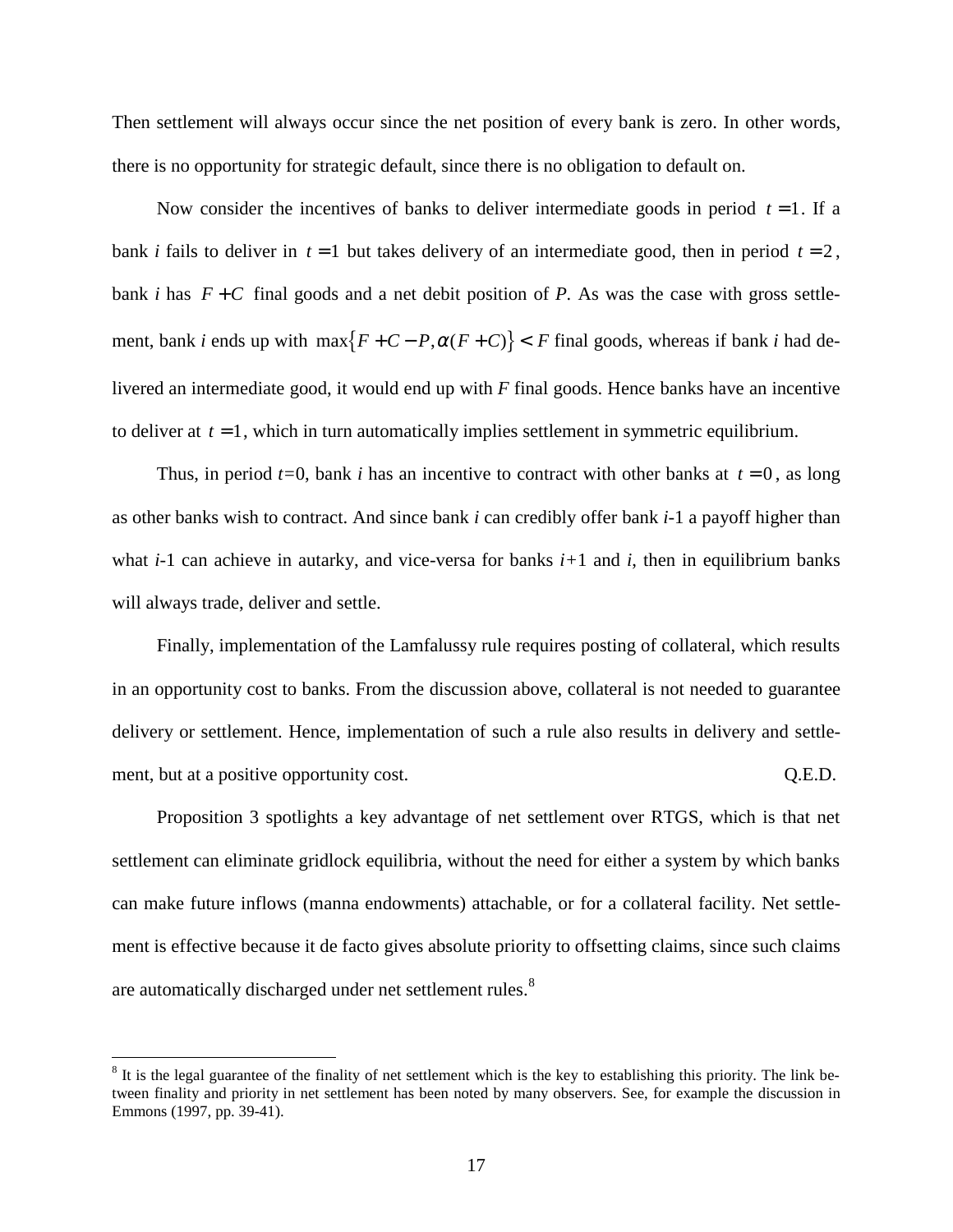Then settlement will always occur since the net position of every bank is zero. In other words, there is no opportunity for strategic default, since there is no obligation to default on.

Now consider the incentives of banks to deliver intermediate goods in period  $t = 1$ . If a bank *i* fails to deliver in  $t = 1$  but takes delivery of an intermediate good, then in period  $t = 2$ , bank *i* has  $F + C$  final goods and a net debit position of *P*. As was the case with gross settlement, bank *i* ends up with  $\max\{F+C-P, \alpha(F+C)\} < F$  final goods, whereas if bank *i* had delivered an intermediate good, it would end up with *F* final goods. Hence banks have an incentive to deliver at  $t = 1$ , which in turn automatically implies settlement in symmetric equilibrium.

Thus, in period  $t=0$ , bank *i* has an incentive to contract with other banks at  $t=0$ , as long as other banks wish to contract. And since bank *i* can credibly offer bank *i-*1 a payoff higher than what *i-*1 can achieve in autarky, and vice-versa for banks *i+*1 and *i*, then in equilibrium banks will always trade, deliver and settle.

Finally, implementation of the Lamfalussy rule requires posting of collateral, which results in an opportunity cost to banks. From the discussion above, collateral is not needed to guarantee delivery or settlement. Hence, implementation of such a rule also results in delivery and settlement, but at a positive opportunity cost.  $Q.E.D.$ 

Proposition 3 spotlights a key advantage of net settlement over RTGS, which is that net settlement can eliminate gridlock equilibria, without the need for either a system by which banks can make future inflows (manna endowments) attachable, or for a collateral facility. Net settlement is effective because it de facto gives absolute priority to offsetting claims, since such claims are automatically discharged under net settlement rules.<sup>8</sup>

 $\overline{a}$ 

 $8$  It is the legal guarantee of the finality of net settlement which is the key to establishing this priority. The link between finality and priority in net settlement has been noted by many observers. See, for example the discussion in Emmons (1997, pp. 39-41).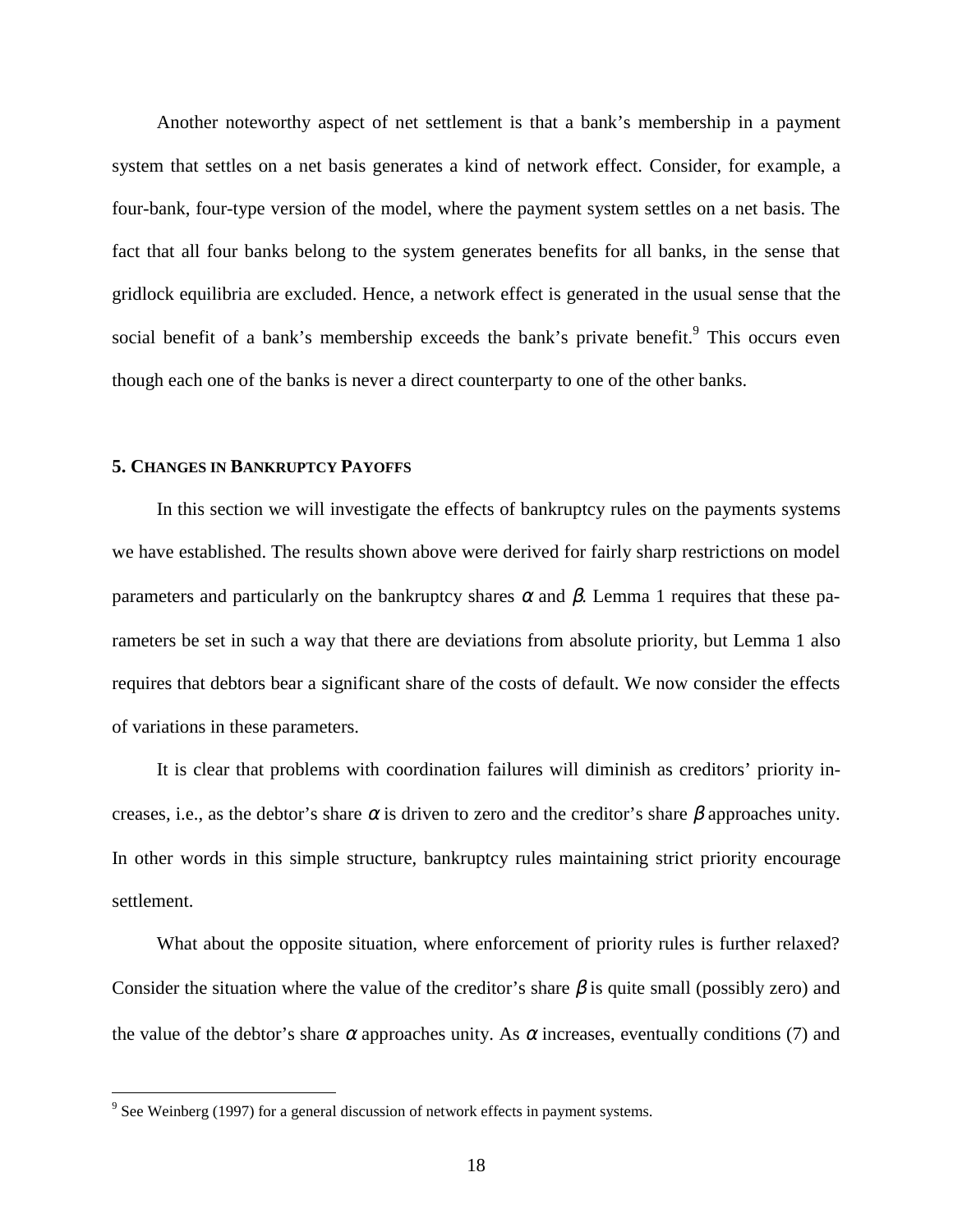Another noteworthy aspect of net settlement is that a bank's membership in a payment system that settles on a net basis generates a kind of network effect. Consider, for example, a four-bank, four-type version of the model, where the payment system settles on a net basis. The fact that all four banks belong to the system generates benefits for all banks, in the sense that gridlock equilibria are excluded. Hence, a network effect is generated in the usual sense that the social benefit of a bank's membership exceeds the bank's private benefit. $9$  This occurs even though each one of the banks is never a direct counterparty to one of the other banks.

#### **5. CHANGES IN BANKRUPTCY PAYOFFS**

In this section we will investigate the effects of bankruptcy rules on the payments systems we have established. The results shown above were derived for fairly sharp restrictions on model parameters and particularly on the bankruptcy shares  $\alpha$  and  $\beta$ . Lemma 1 requires that these parameters be set in such a way that there are deviations from absolute priority, but Lemma 1 also requires that debtors bear a significant share of the costs of default. We now consider the effects of variations in these parameters.

It is clear that problems with coordination failures will diminish as creditors' priority increases, i.e., as the debtor's share  $\alpha$  is driven to zero and the creditor's share  $\beta$  approaches unity. In other words in this simple structure, bankruptcy rules maintaining strict priority encourage settlement.

What about the opposite situation, where enforcement of priority rules is further relaxed? Consider the situation where the value of the creditor's share  $\beta$  is quite small (possibly zero) and the value of the debtor's share  $\alpha$  approaches unity. As  $\alpha$  increases, eventually conditions (7) and

 $\overline{a}$ 

 $9^9$  See Weinberg (1997) for a general discussion of network effects in payment systems.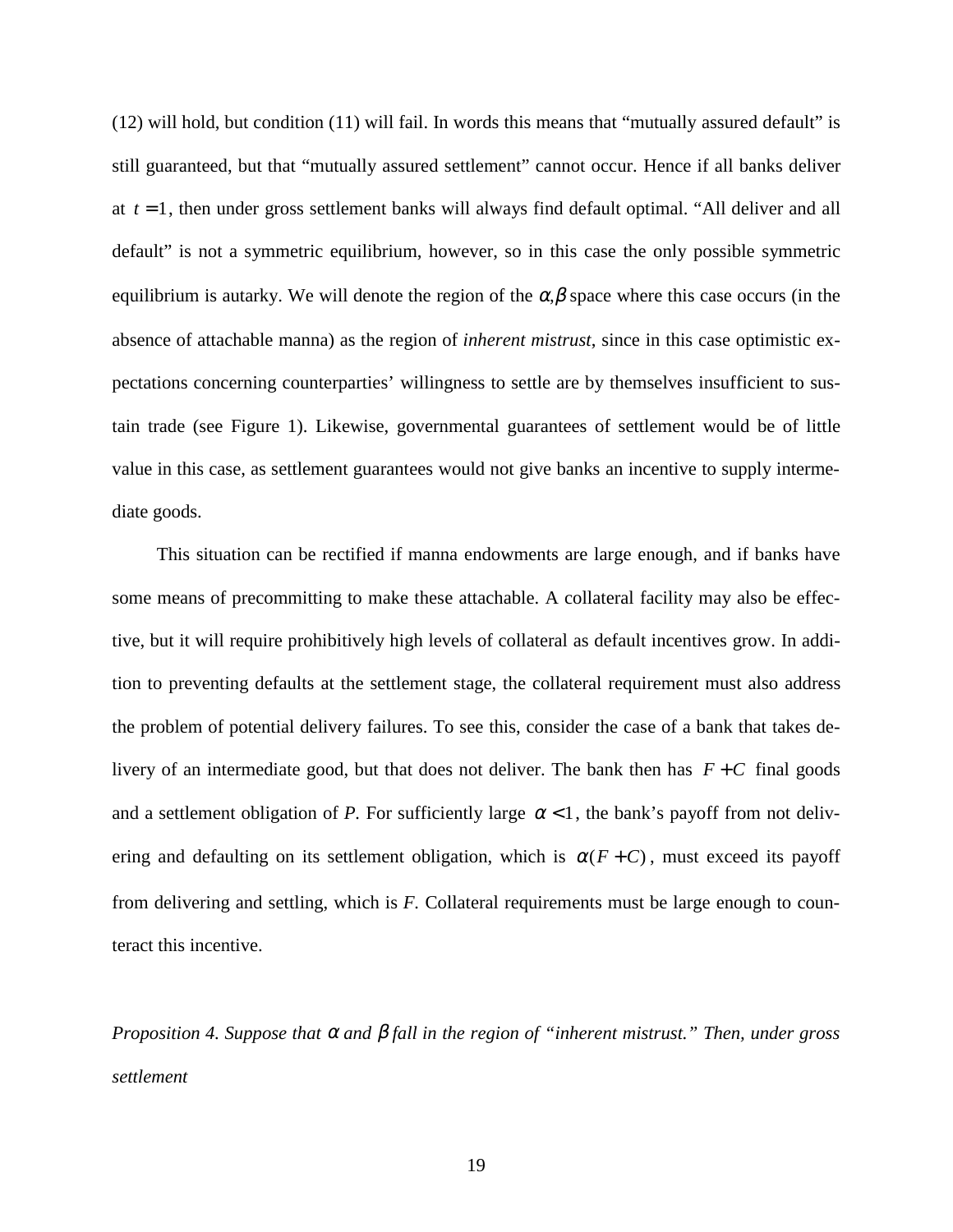(12) will hold, but condition (11) will fail. In words this means that "mutually assured default" is still guaranteed, but that "mutually assured settlement" cannot occur. Hence if all banks deliver at *t* = 1, then under gross settlement banks will always find default optimal. "All deliver and all default" is not a symmetric equilibrium, however, so in this case the only possible symmetric equilibrium is autarky. We will denote the region of the  $\alpha, \beta$  space where this case occurs (in the absence of attachable manna) as the region of *inherent mistrust*, since in this case optimistic expectations concerning counterparties' willingness to settle are by themselves insufficient to sustain trade (see Figure 1). Likewise, governmental guarantees of settlement would be of little value in this case, as settlement guarantees would not give banks an incentive to supply intermediate goods.

This situation can be rectified if manna endowments are large enough, and if banks have some means of precommitting to make these attachable. A collateral facility may also be effective, but it will require prohibitively high levels of collateral as default incentives grow. In addition to preventing defaults at the settlement stage, the collateral requirement must also address the problem of potential delivery failures. To see this, consider the case of a bank that takes delivery of an intermediate good, but that does not deliver. The bank then has  $F + C$  final goods and a settlement obligation of *P*. For sufficiently large  $\alpha < 1$ , the bank's payoff from not delivering and defaulting on its settlement obligation, which is  $\alpha(F+C)$ , must exceed its payoff from delivering and settling, which is *F.* Collateral requirements must be large enough to counteract this incentive.

*Proposition 4. Suppose that* α *and* β *fall in the region of "inherent mistrust." Then, under gross settlement*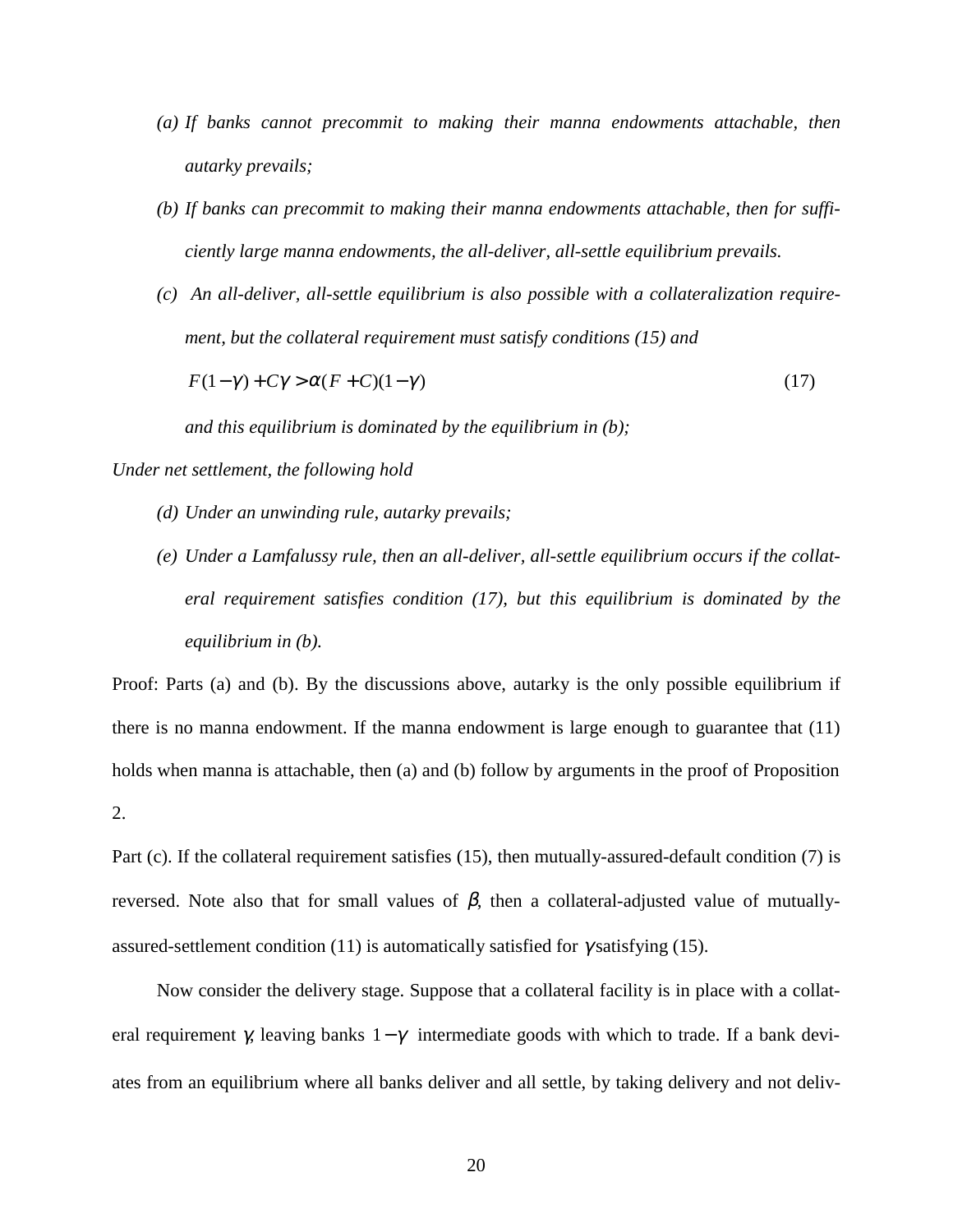- *(a) If banks cannot precommit to making their manna endowments attachable, then autarky prevails;*
- *(b) If banks can precommit to making their manna endowments attachable, then for sufficiently large manna endowments, the all-deliver, all-settle equilibrium prevails.*
- *(c) An all-deliver, all-settle equilibrium is also possible with a collateralization requirement, but the collateral requirement must satisfy conditions (15) and*

 $F(1-\gamma) + C\gamma > \alpha (F+C)(1-\gamma)$  (17)

*and this equilibrium is dominated by the equilibrium in (b);*

*Under net settlement, the following hold*

- *(d) Under an unwinding rule, autarky prevails;*
- *(e) Under a Lamfalussy rule, then an all-deliver, all-settle equilibrium occurs if the collateral requirement satisfies condition (17), but this equilibrium is dominated by the equilibrium in (b).*

Proof: Parts (a) and (b). By the discussions above, autarky is the only possible equilibrium if there is no manna endowment. If the manna endowment is large enough to guarantee that (11) holds when manna is attachable, then (a) and (b) follow by arguments in the proof of Proposition 2.

Part (c). If the collateral requirement satisfies (15), then mutually-assured-default condition (7) is reversed. Note also that for small values of  $\beta$ , then a collateral-adjusted value of mutuallyassured-settlement condition (11) is automatically satisfied for  $\gamma$  satisfying (15).

Now consider the delivery stage. Suppose that a collateral facility is in place with a collateral requirement  $\gamma$ , leaving banks  $1-\gamma$  intermediate goods with which to trade. If a bank deviates from an equilibrium where all banks deliver and all settle, by taking delivery and not deliv-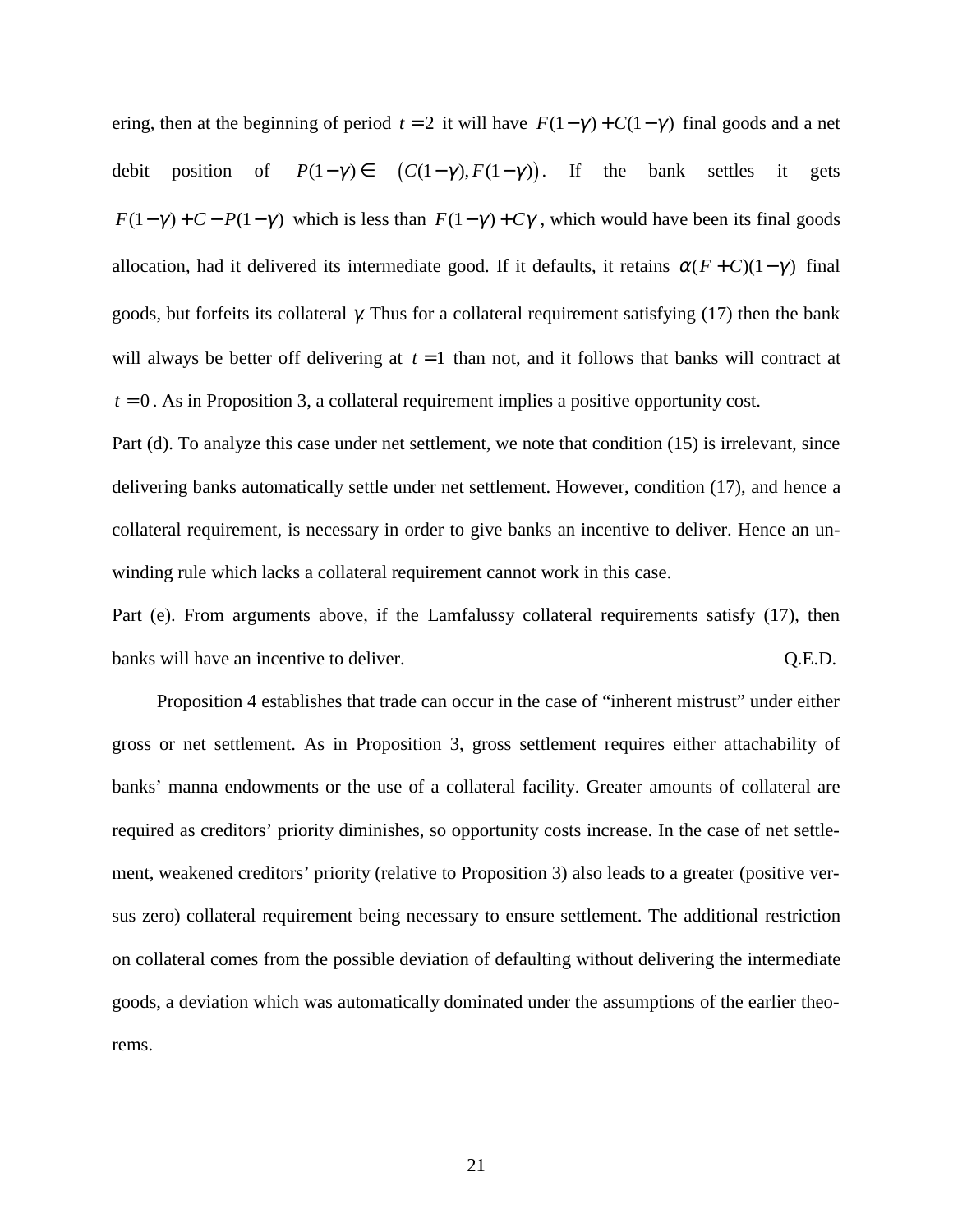ering, then at the beginning of period  $t = 2$  it will have  $F(1 - \gamma) + C(1 - \gamma)$  final goods and a net debit position of  $P(1-\gamma) \in (C(1-\gamma), F(1-\gamma))$ . If the bank settles it gets  $F(1-\gamma) + C - P(1-\gamma)$  which is less than  $F(1-\gamma) + C\gamma$ , which would have been its final goods allocation, had it delivered its intermediate good. If it defaults, it retains  $\alpha(F + C)(1 - \gamma)$  final goods, but forfeits its collateral γ. Thus for a collateral requirement satisfying (17) then the bank will always be better off delivering at  $t = 1$  than not, and it follows that banks will contract at  $t = 0$ . As in Proposition 3, a collateral requirement implies a positive opportunity cost.

Part (d). To analyze this case under net settlement, we note that condition (15) is irrelevant, since delivering banks automatically settle under net settlement. However, condition (17), and hence a collateral requirement, is necessary in order to give banks an incentive to deliver. Hence an unwinding rule which lacks a collateral requirement cannot work in this case.

Part (e). From arguments above, if the Lamfalussy collateral requirements satisfy (17), then banks will have an incentive to deliver.  $Q.E.D.$ 

Proposition 4 establishes that trade can occur in the case of "inherent mistrust" under either gross or net settlement. As in Proposition 3, gross settlement requires either attachability of banks' manna endowments or the use of a collateral facility. Greater amounts of collateral are required as creditors' priority diminishes, so opportunity costs increase. In the case of net settlement, weakened creditors' priority (relative to Proposition 3) also leads to a greater (positive versus zero) collateral requirement being necessary to ensure settlement. The additional restriction on collateral comes from the possible deviation of defaulting without delivering the intermediate goods, a deviation which was automatically dominated under the assumptions of the earlier theorems.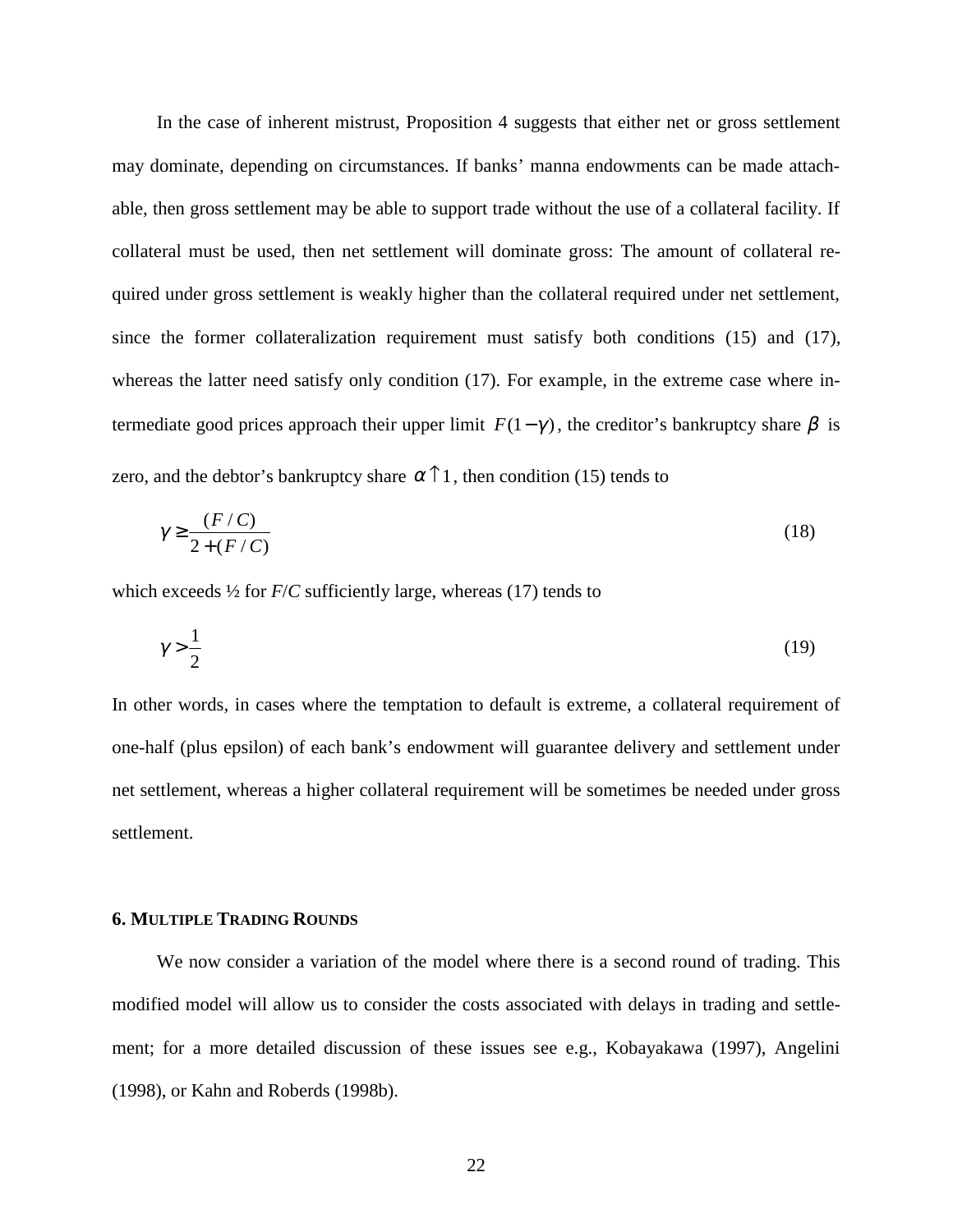In the case of inherent mistrust, Proposition 4 suggests that either net or gross settlement may dominate, depending on circumstances. If banks' manna endowments can be made attachable, then gross settlement may be able to support trade without the use of a collateral facility. If collateral must be used, then net settlement will dominate gross: The amount of collateral required under gross settlement is weakly higher than the collateral required under net settlement, since the former collateralization requirement must satisfy both conditions (15) and (17), whereas the latter need satisfy only condition (17). For example, in the extreme case where intermediate good prices approach their upper limit  $F(1-\gamma)$ , the creditor's bankruptcy share  $\beta$  is zero, and the debtor's bankruptcy share  $\alpha \uparrow 1$ , then condition (15) tends to

$$
\gamma \ge \frac{(F/C)}{2 + (F/C)}\tag{18}
$$

which exceeds  $\frac{1}{2}$  for  $F/C$  sufficiently large, whereas (17) tends to

$$
\gamma > \frac{1}{2} \tag{19}
$$

In other words, in cases where the temptation to default is extreme, a collateral requirement of one-half (plus epsilon) of each bank's endowment will guarantee delivery and settlement under net settlement, whereas a higher collateral requirement will be sometimes be needed under gross settlement.

#### **6. MULTIPLE TRADING ROUNDS**

We now consider a variation of the model where there is a second round of trading. This modified model will allow us to consider the costs associated with delays in trading and settlement; for a more detailed discussion of these issues see e.g., Kobayakawa (1997), Angelini (1998), or Kahn and Roberds (1998b).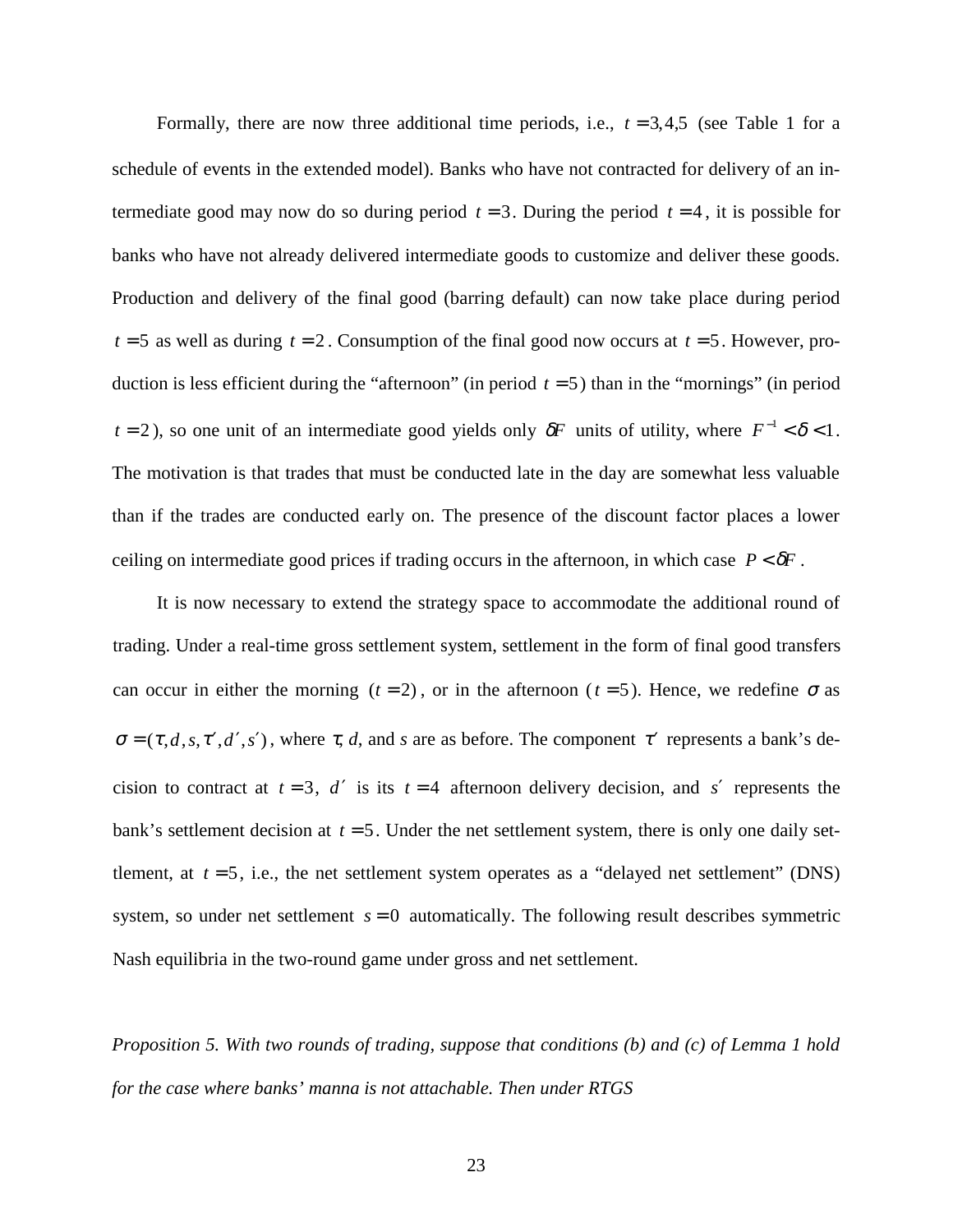Formally, there are now three additional time periods, i.e.,  $t = 3,4,5$  (see Table 1 for a schedule of events in the extended model). Banks who have not contracted for delivery of an intermediate good may now do so during period  $t = 3$ . During the period  $t = 4$ , it is possible for banks who have not already delivered intermediate goods to customize and deliver these goods. Production and delivery of the final good (barring default) can now take place during period  $t = 5$  as well as during  $t = 2$ . Consumption of the final good now occurs at  $t = 5$ . However, production is less efficient during the "afternoon" (in period  $t = 5$ ) than in the "mornings" (in period *t* = 2), so one unit of an intermediate good yields only  $\delta F$  units of utility, where  $F^{-1} < \delta < 1$ . The motivation is that trades that must be conducted late in the day are somewhat less valuable than if the trades are conducted early on. The presence of the discount factor places a lower ceiling on intermediate good prices if trading occurs in the afternoon, in which case  $P < \delta F$ .

It is now necessary to extend the strategy space to accommodate the additional round of trading. Under a real-time gross settlement system, settlement in the form of final good transfers can occur in either the morning  $(t = 2)$ , or in the afternoon  $(t = 5)$ . Hence, we redefine  $\sigma$  as  $\sigma = (\tau, d, s, \tau', d', s')$ , where  $\tau, d$ , and *s* are as before. The component  $\tau'$  represents a bank's decision to contract at  $t = 3$ , *d'* is its  $t = 4$  afternoon delivery decision, and *s'* represents the bank's settlement decision at  $t = 5$ . Under the net settlement system, there is only one daily settlement, at  $t = 5$ , i.e., the net settlement system operates as a "delayed net settlement" (DNS) system, so under net settlement  $s = 0$  automatically. The following result describes symmetric Nash equilibria in the two-round game under gross and net settlement.

*Proposition 5. With two rounds of trading, suppose that conditions (b) and (c) of Lemma 1 hold for the case where banks' manna is not attachable. Then under RTGS*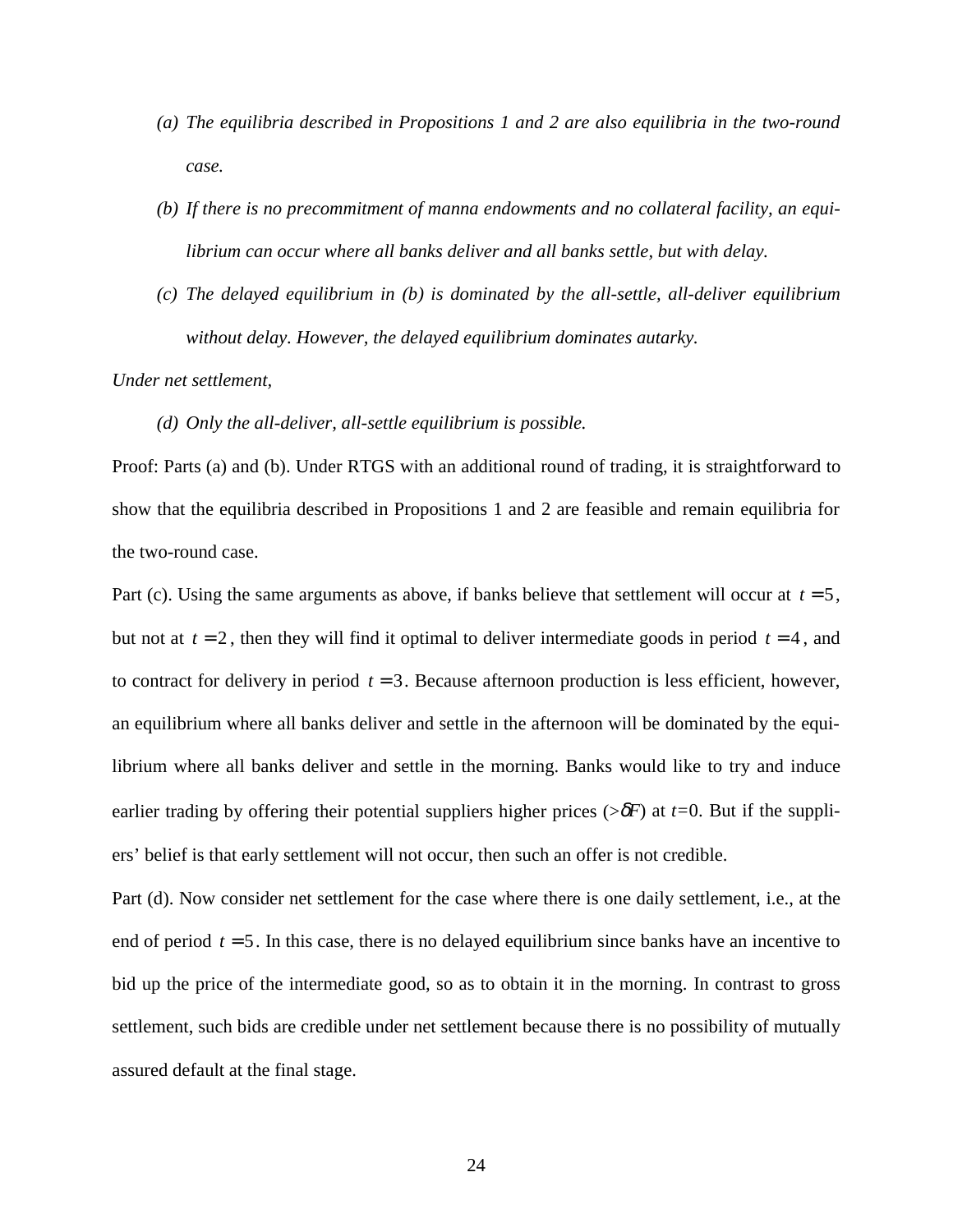- *(a) The equilibria described in Propositions 1 and 2 are also equilibria in the two-round case.*
- *(b) If there is no precommitment of manna endowments and no collateral facility, an equilibrium can occur where all banks deliver and all banks settle, but with delay.*
- *(c) The delayed equilibrium in (b) is dominated by the all-settle, all-deliver equilibrium without delay. However, the delayed equilibrium dominates autarky.*

*Under net settlement,*

#### *(d) Only the all-deliver, all-settle equilibrium is possible.*

Proof: Parts (a) and (b). Under RTGS with an additional round of trading, it is straightforward to show that the equilibria described in Propositions 1 and 2 are feasible and remain equilibria for the two-round case.

Part (c). Using the same arguments as above, if banks believe that settlement will occur at  $t = 5$ , but not at  $t = 2$ , then they will find it optimal to deliver intermediate goods in period  $t = 4$ , and to contract for delivery in period  $t = 3$ . Because afternoon production is less efficient, however, an equilibrium where all banks deliver and settle in the afternoon will be dominated by the equilibrium where all banks deliver and settle in the morning. Banks would like to try and induce earlier trading by offering their potential suppliers higher prices ( $\delta F$ ) at *t*=0. But if the suppliers' belief is that early settlement will not occur, then such an offer is not credible.

Part (d). Now consider net settlement for the case where there is one daily settlement, i.e., at the end of period  $t = 5$ . In this case, there is no delayed equilibrium since banks have an incentive to bid up the price of the intermediate good, so as to obtain it in the morning. In contrast to gross settlement, such bids are credible under net settlement because there is no possibility of mutually assured default at the final stage.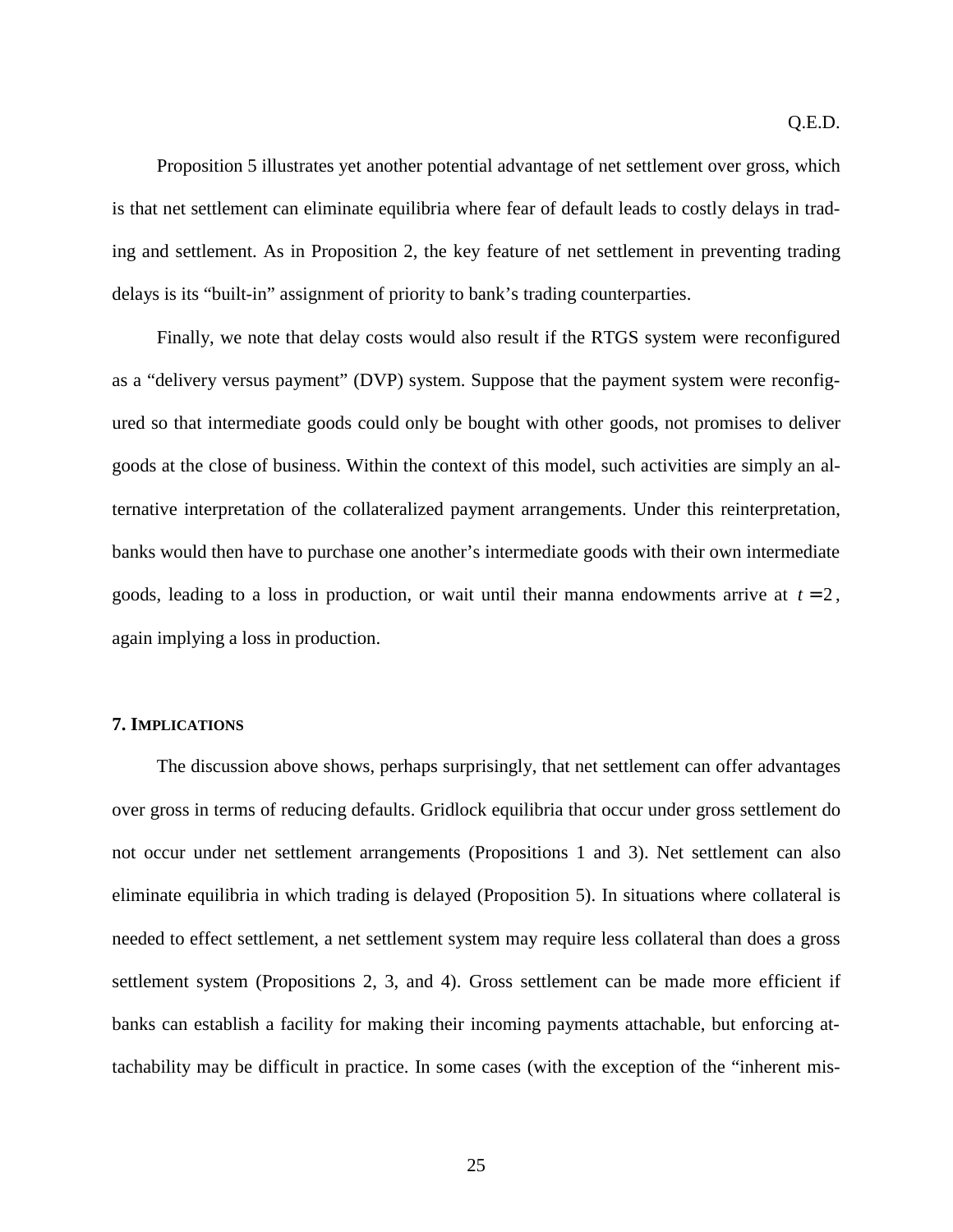Proposition 5 illustrates yet another potential advantage of net settlement over gross, which is that net settlement can eliminate equilibria where fear of default leads to costly delays in trading and settlement. As in Proposition 2, the key feature of net settlement in preventing trading delays is its "built-in" assignment of priority to bank's trading counterparties.

Finally, we note that delay costs would also result if the RTGS system were reconfigured as a "delivery versus payment" (DVP) system. Suppose that the payment system were reconfigured so that intermediate goods could only be bought with other goods, not promises to deliver goods at the close of business. Within the context of this model, such activities are simply an alternative interpretation of the collateralized payment arrangements. Under this reinterpretation, banks would then have to purchase one another's intermediate goods with their own intermediate goods, leading to a loss in production, or wait until their manna endowments arrive at  $t = 2$ , again implying a loss in production.

#### **7. IMPLICATIONS**

The discussion above shows, perhaps surprisingly, that net settlement can offer advantages over gross in terms of reducing defaults. Gridlock equilibria that occur under gross settlement do not occur under net settlement arrangements (Propositions 1 and 3). Net settlement can also eliminate equilibria in which trading is delayed (Proposition 5). In situations where collateral is needed to effect settlement, a net settlement system may require less collateral than does a gross settlement system (Propositions 2, 3, and 4). Gross settlement can be made more efficient if banks can establish a facility for making their incoming payments attachable, but enforcing attachability may be difficult in practice. In some cases (with the exception of the "inherent mis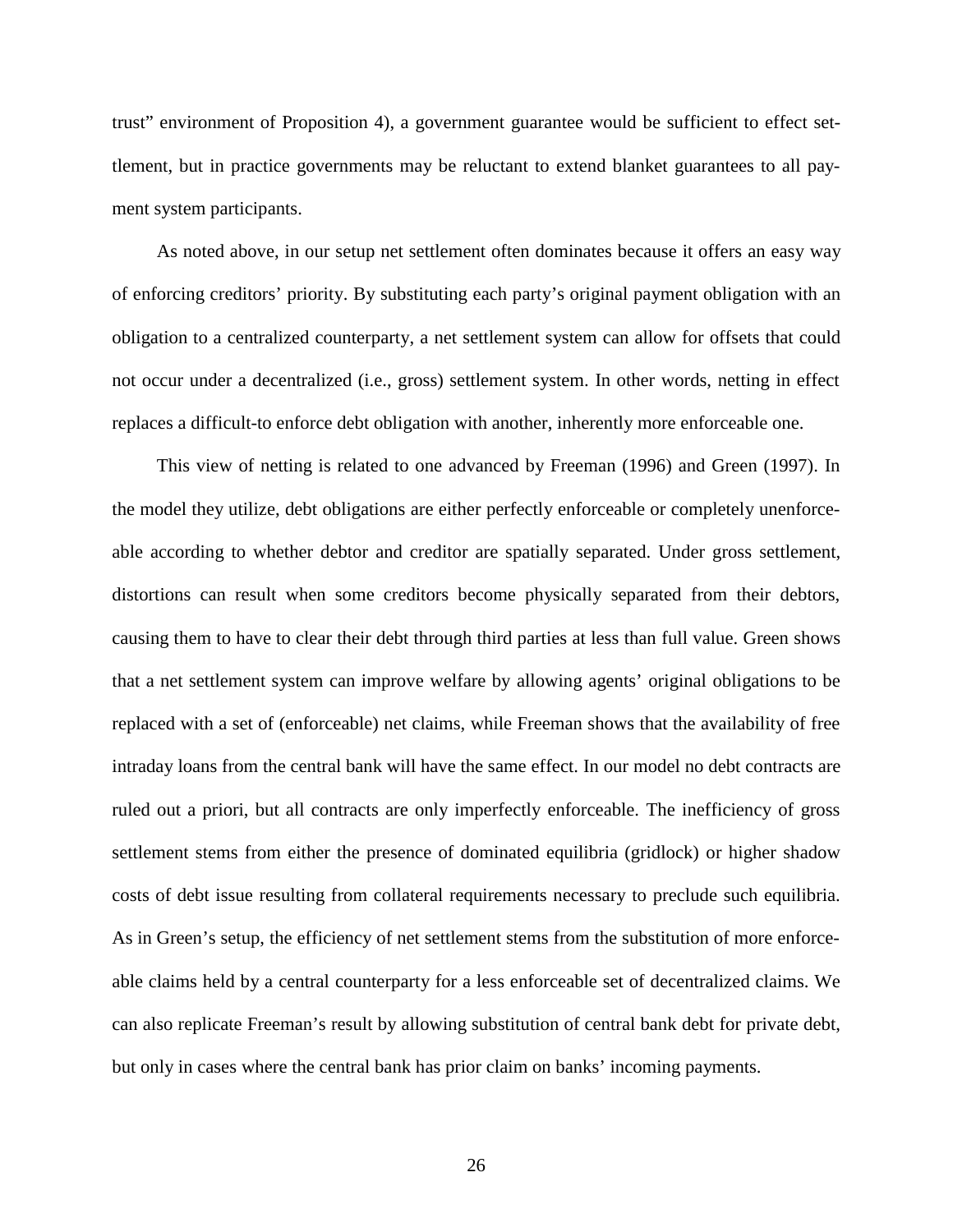trust" environment of Proposition 4), a government guarantee would be sufficient to effect settlement, but in practice governments may be reluctant to extend blanket guarantees to all payment system participants.

As noted above, in our setup net settlement often dominates because it offers an easy way of enforcing creditors' priority. By substituting each party's original payment obligation with an obligation to a centralized counterparty, a net settlement system can allow for offsets that could not occur under a decentralized (i.e., gross) settlement system. In other words, netting in effect replaces a difficult-to enforce debt obligation with another, inherently more enforceable one.

This view of netting is related to one advanced by Freeman (1996) and Green (1997). In the model they utilize, debt obligations are either perfectly enforceable or completely unenforceable according to whether debtor and creditor are spatially separated. Under gross settlement, distortions can result when some creditors become physically separated from their debtors, causing them to have to clear their debt through third parties at less than full value. Green shows that a net settlement system can improve welfare by allowing agents' original obligations to be replaced with a set of (enforceable) net claims, while Freeman shows that the availability of free intraday loans from the central bank will have the same effect. In our model no debt contracts are ruled out a priori, but all contracts are only imperfectly enforceable. The inefficiency of gross settlement stems from either the presence of dominated equilibria (gridlock) or higher shadow costs of debt issue resulting from collateral requirements necessary to preclude such equilibria. As in Green's setup, the efficiency of net settlement stems from the substitution of more enforceable claims held by a central counterparty for a less enforceable set of decentralized claims. We can also replicate Freeman's result by allowing substitution of central bank debt for private debt, but only in cases where the central bank has prior claim on banks' incoming payments.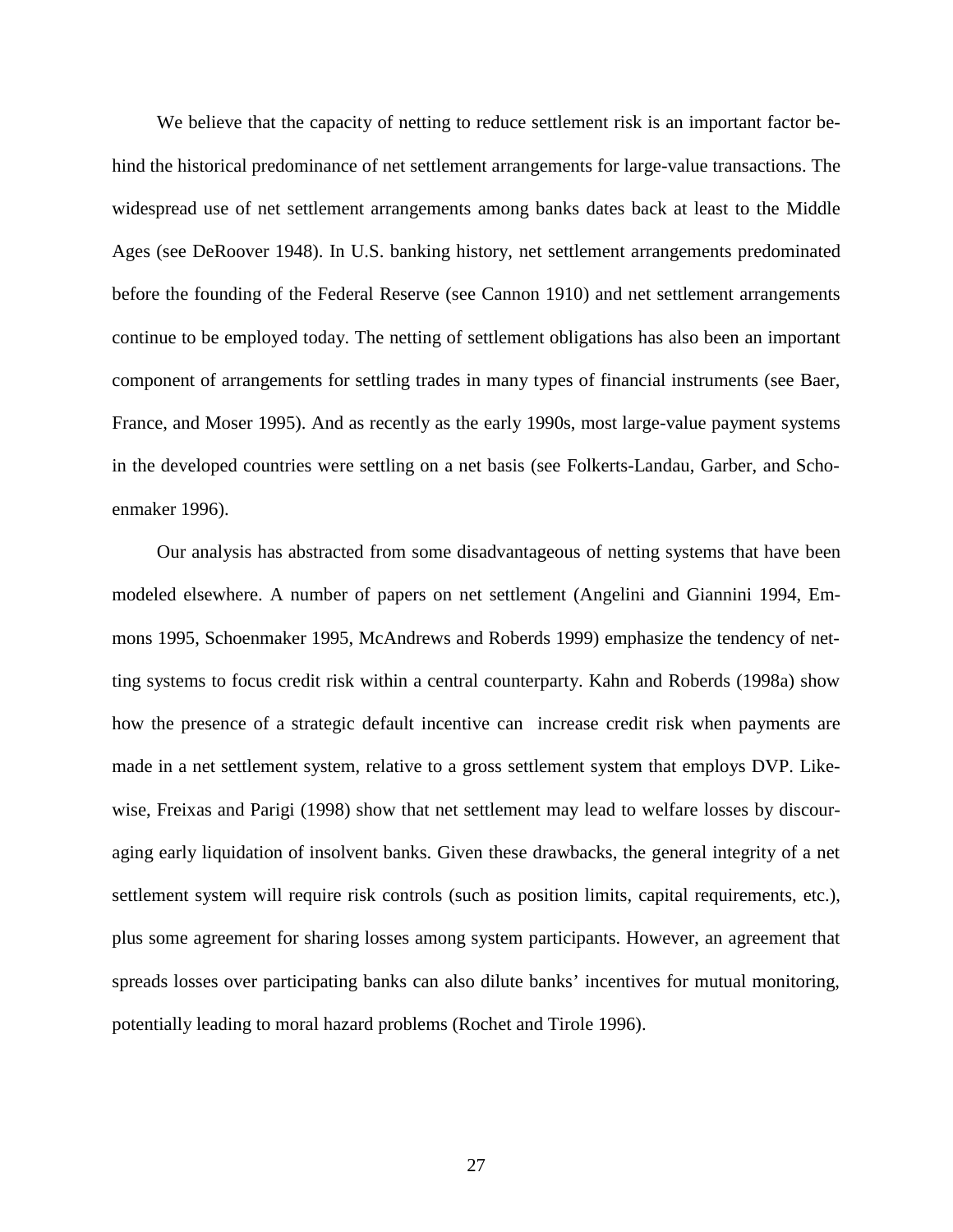We believe that the capacity of netting to reduce settlement risk is an important factor behind the historical predominance of net settlement arrangements for large-value transactions. The widespread use of net settlement arrangements among banks dates back at least to the Middle Ages (see DeRoover 1948). In U.S. banking history, net settlement arrangements predominated before the founding of the Federal Reserve (see Cannon 1910) and net settlement arrangements continue to be employed today. The netting of settlement obligations has also been an important component of arrangements for settling trades in many types of financial instruments (see Baer, France, and Moser 1995). And as recently as the early 1990s, most large-value payment systems in the developed countries were settling on a net basis (see Folkerts-Landau, Garber, and Schoenmaker 1996).

Our analysis has abstracted from some disadvantageous of netting systems that have been modeled elsewhere. A number of papers on net settlement (Angelini and Giannini 1994, Emmons 1995, Schoenmaker 1995, McAndrews and Roberds 1999) emphasize the tendency of netting systems to focus credit risk within a central counterparty. Kahn and Roberds (1998a) show how the presence of a strategic default incentive can increase credit risk when payments are made in a net settlement system, relative to a gross settlement system that employs DVP. Likewise, Freixas and Parigi (1998) show that net settlement may lead to welfare losses by discouraging early liquidation of insolvent banks. Given these drawbacks, the general integrity of a net settlement system will require risk controls (such as position limits, capital requirements, etc.), plus some agreement for sharing losses among system participants. However, an agreement that spreads losses over participating banks can also dilute banks' incentives for mutual monitoring, potentially leading to moral hazard problems (Rochet and Tirole 1996).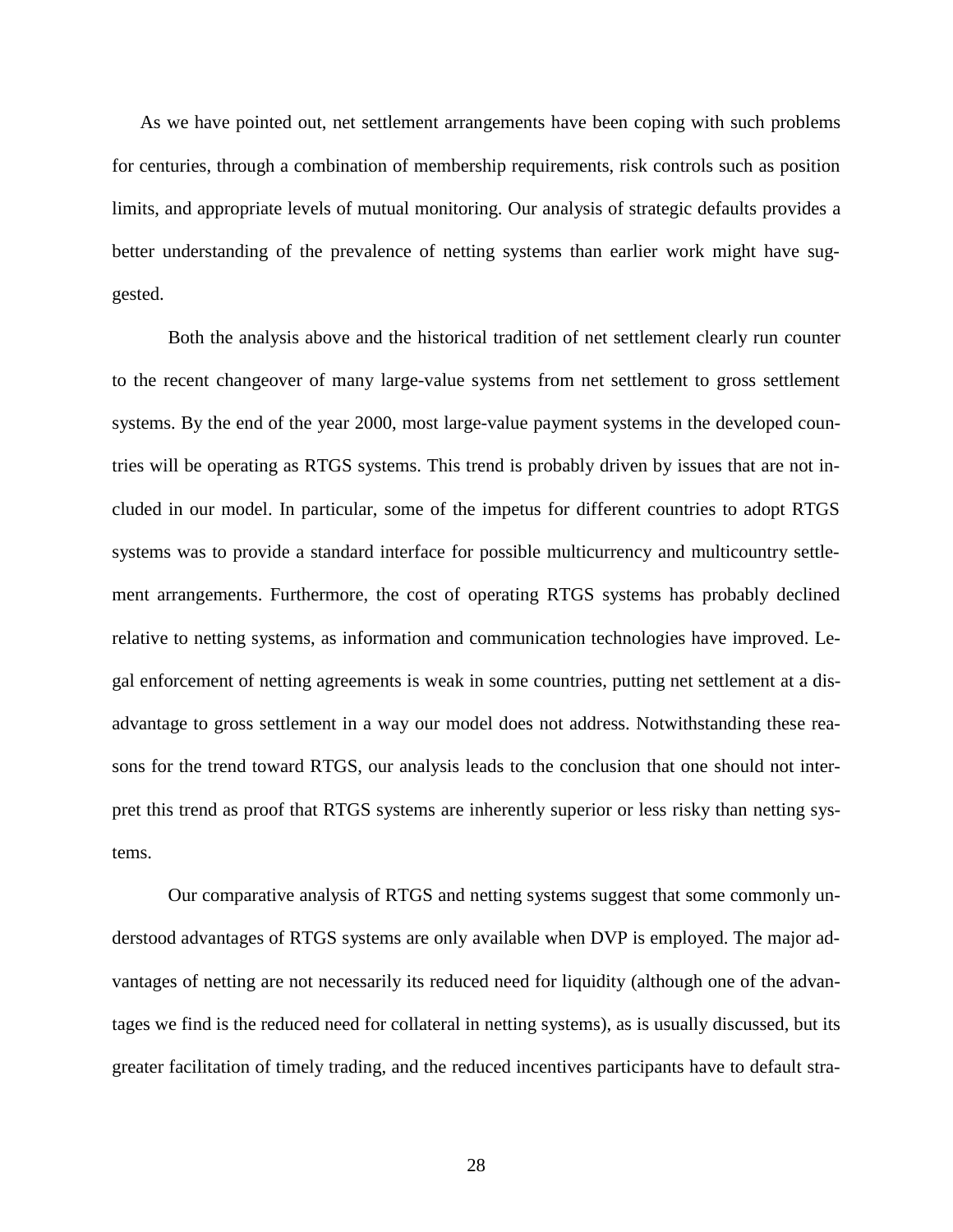As we have pointed out, net settlement arrangements have been coping with such problems for centuries, through a combination of membership requirements, risk controls such as position limits, and appropriate levels of mutual monitoring. Our analysis of strategic defaults provides a better understanding of the prevalence of netting systems than earlier work might have suggested.

Both the analysis above and the historical tradition of net settlement clearly run counter to the recent changeover of many large-value systems from net settlement to gross settlement systems. By the end of the year 2000, most large-value payment systems in the developed countries will be operating as RTGS systems. This trend is probably driven by issues that are not included in our model. In particular, some of the impetus for different countries to adopt RTGS systems was to provide a standard interface for possible multicurrency and multicountry settlement arrangements. Furthermore, the cost of operating RTGS systems has probably declined relative to netting systems, as information and communication technologies have improved. Legal enforcement of netting agreements is weak in some countries, putting net settlement at a disadvantage to gross settlement in a way our model does not address. Notwithstanding these reasons for the trend toward RTGS, our analysis leads to the conclusion that one should not interpret this trend as proof that RTGS systems are inherently superior or less risky than netting systems.

Our comparative analysis of RTGS and netting systems suggest that some commonly understood advantages of RTGS systems are only available when DVP is employed. The major advantages of netting are not necessarily its reduced need for liquidity (although one of the advantages we find is the reduced need for collateral in netting systems), as is usually discussed, but its greater facilitation of timely trading, and the reduced incentives participants have to default stra-

28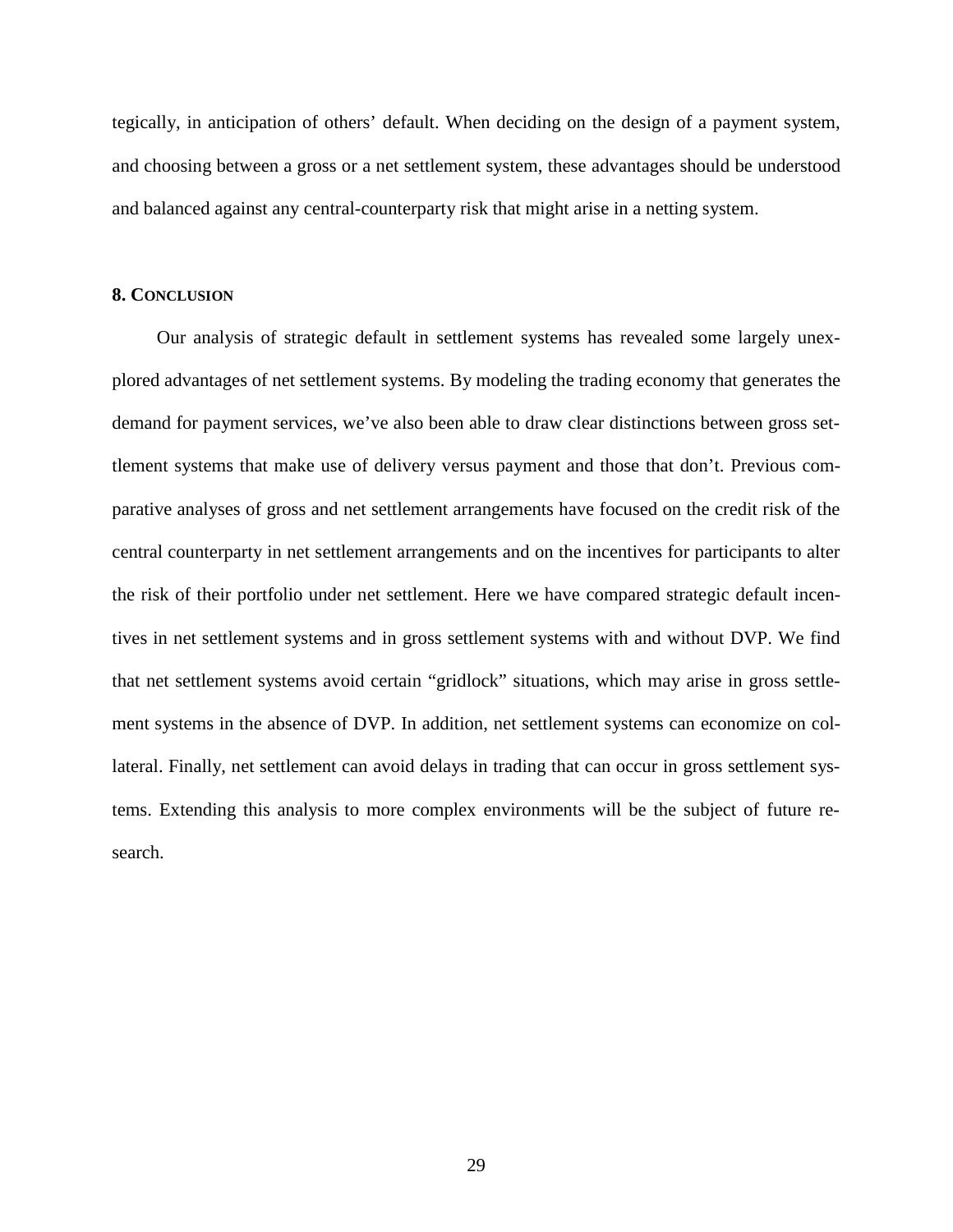tegically, in anticipation of others' default. When deciding on the design of a payment system, and choosing between a gross or a net settlement system, these advantages should be understood and balanced against any central-counterparty risk that might arise in a netting system.

#### **8. CONCLUSION**

Our analysis of strategic default in settlement systems has revealed some largely unexplored advantages of net settlement systems. By modeling the trading economy that generates the demand for payment services, we've also been able to draw clear distinctions between gross settlement systems that make use of delivery versus payment and those that don't. Previous comparative analyses of gross and net settlement arrangements have focused on the credit risk of the central counterparty in net settlement arrangements and on the incentives for participants to alter the risk of their portfolio under net settlement. Here we have compared strategic default incentives in net settlement systems and in gross settlement systems with and without DVP. We find that net settlement systems avoid certain "gridlock" situations, which may arise in gross settlement systems in the absence of DVP. In addition, net settlement systems can economize on collateral. Finally, net settlement can avoid delays in trading that can occur in gross settlement systems. Extending this analysis to more complex environments will be the subject of future research.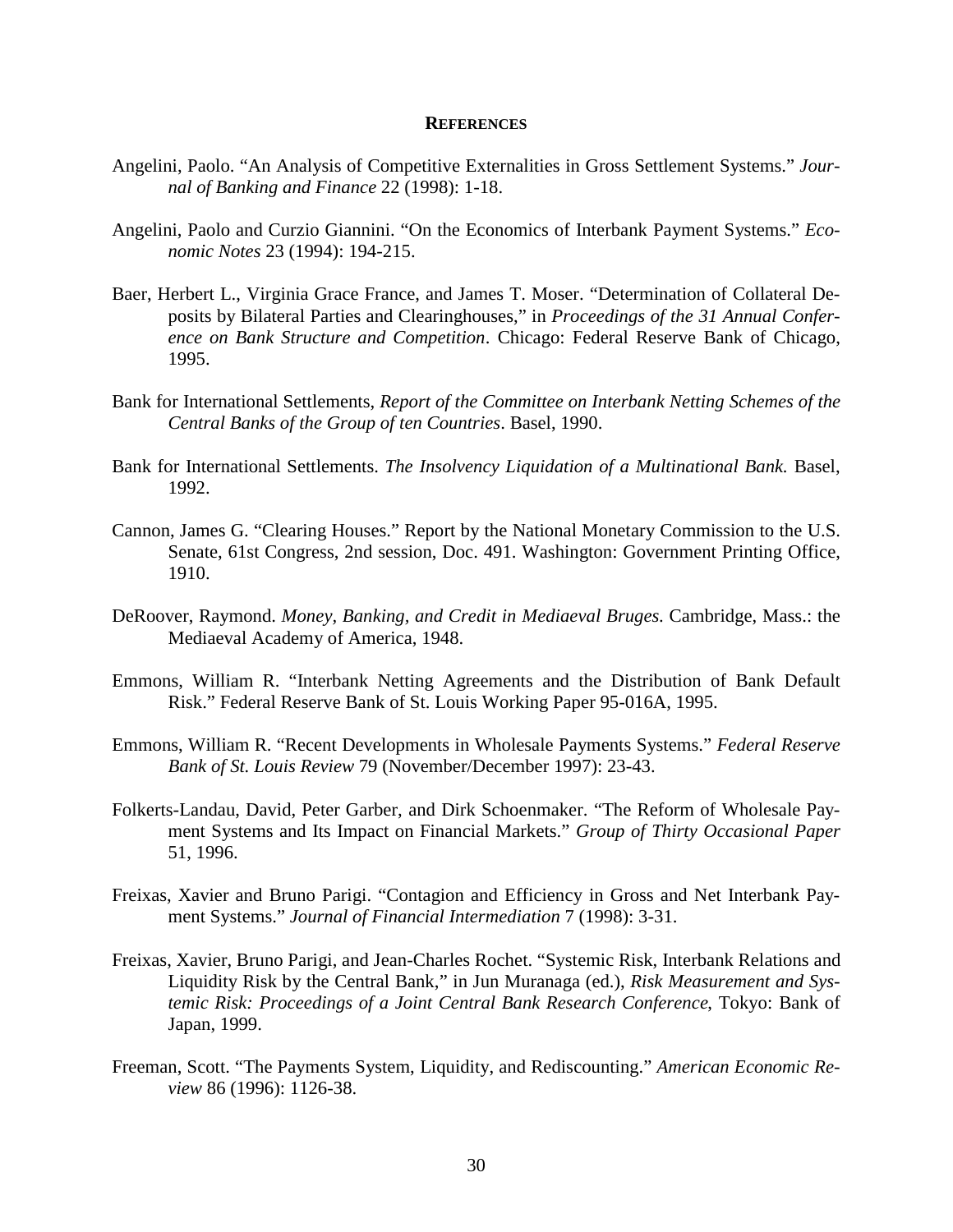#### **REFERENCES**

- Angelini, Paolo. "An Analysis of Competitive Externalities in Gross Settlement Systems." *Journal of Banking and Finance* 22 (1998): 1-18.
- Angelini, Paolo and Curzio Giannini. "On the Economics of Interbank Payment Systems." *Economic Notes* 23 (1994): 194-215.
- Baer, Herbert L., Virginia Grace France, and James T. Moser. "Determination of Collateral Deposits by Bilateral Parties and Clearinghouses," in *Proceedings of the 31 Annual Conference on Bank Structure and Competition*. Chicago: Federal Reserve Bank of Chicago, 1995.
- Bank for International Settlements, *Report of the Committee on Interbank Netting Schemes of the Central Banks of the Group of ten Countries*. Basel, 1990.
- Bank for International Settlements. *The Insolvency Liquidation of a Multinational Bank.* Basel, 1992.
- Cannon, James G. "Clearing Houses." Report by the National Monetary Commission to the U.S. Senate, 61st Congress, 2nd session, Doc. 491. Washington: Government Printing Office, 1910.
- DeRoover, Raymond. *Money, Banking, and Credit in Mediaeval Bruges*. Cambridge, Mass.: the Mediaeval Academy of America, 1948.
- Emmons, William R. "Interbank Netting Agreements and the Distribution of Bank Default Risk." Federal Reserve Bank of St. Louis Working Paper 95-016A, 1995.
- Emmons, William R. "Recent Developments in Wholesale Payments Systems." *Federal Reserve Bank of St. Louis Review* 79 (November/December 1997): 23-43.
- Folkerts-Landau, David, Peter Garber, and Dirk Schoenmaker. "The Reform of Wholesale Payment Systems and Its Impact on Financial Markets." *Group of Thirty Occasional Paper* 51, 1996.
- Freixas, Xavier and Bruno Parigi. "Contagion and Efficiency in Gross and Net Interbank Payment Systems." *Journal of Financial Intermediation* 7 (1998): 3-31.
- Freixas, Xavier, Bruno Parigi, and Jean-Charles Rochet. "Systemic Risk, Interbank Relations and Liquidity Risk by the Central Bank," in Jun Muranaga (ed.), *Risk Measurement and Systemic Risk: Proceedings of a Joint Central Bank Research Conference*, Tokyo: Bank of Japan, 1999.
- Freeman, Scott. "The Payments System, Liquidity, and Rediscounting." *American Economic Review* 86 (1996): 1126-38.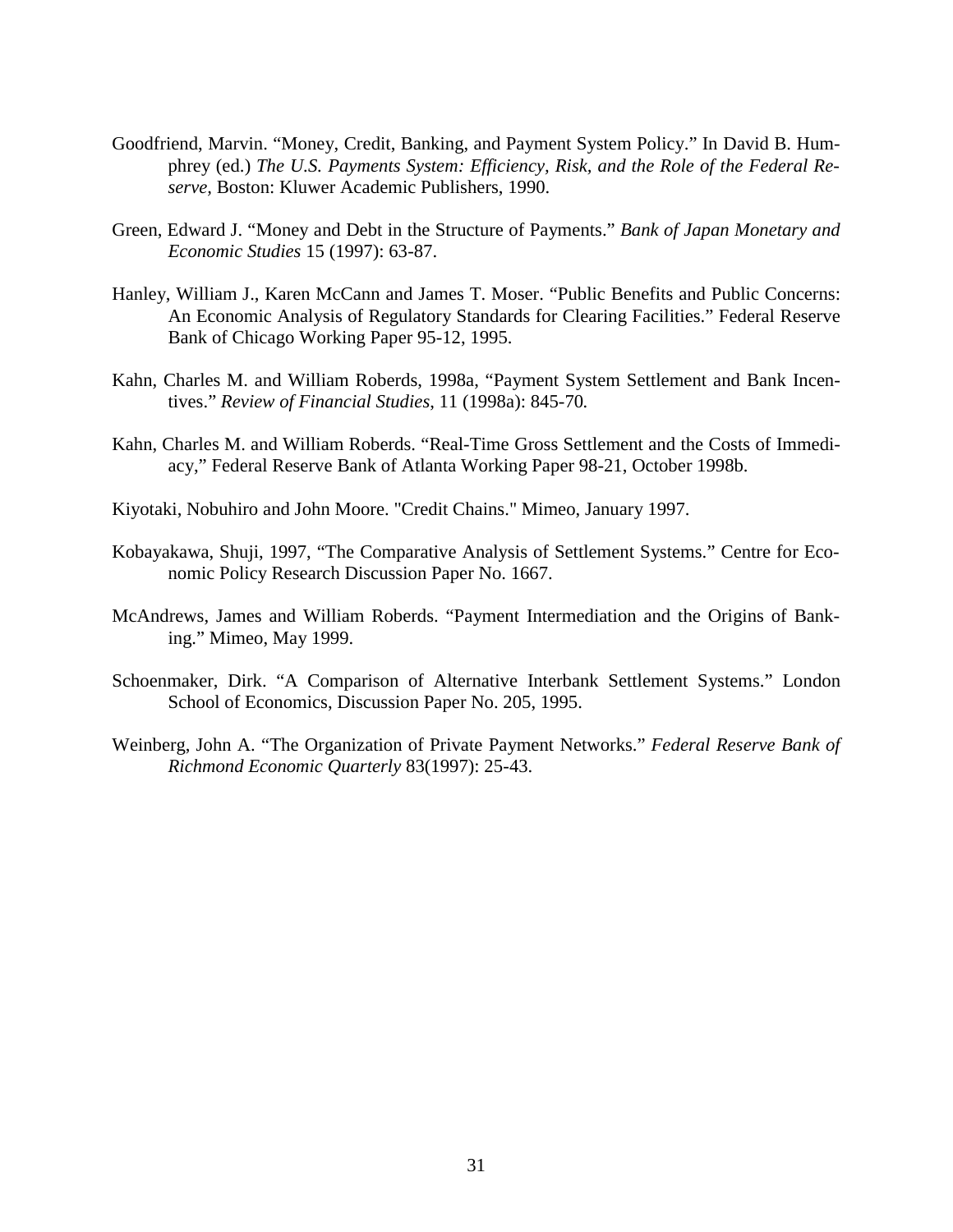- Goodfriend, Marvin. "Money, Credit, Banking, and Payment System Policy." In David B. Humphrey (ed.) *The U.S. Payments System: Efficiency, Risk, and the Role of the Federal Reserve,* Boston: Kluwer Academic Publishers, 1990.
- Green, Edward J. "Money and Debt in the Structure of Payments." *Bank of Japan Monetary and Economic Studies* 15 (1997): 63-87.
- Hanley, William J., Karen McCann and James T. Moser. "Public Benefits and Public Concerns: An Economic Analysis of Regulatory Standards for Clearing Facilities." Federal Reserve Bank of Chicago Working Paper 95-12, 1995.
- Kahn, Charles M. and William Roberds, 1998a, "Payment System Settlement and Bank Incentives." *Review of Financial Studies*, 11 (1998a): 845-70*.*
- Kahn, Charles M. and William Roberds. "Real-Time Gross Settlement and the Costs of Immediacy," Federal Reserve Bank of Atlanta Working Paper 98-21, October 1998b.
- Kiyotaki, Nobuhiro and John Moore. "Credit Chains." Mimeo, January 1997.
- Kobayakawa, Shuji, 1997, "The Comparative Analysis of Settlement Systems." Centre for Economic Policy Research Discussion Paper No. 1667.
- McAndrews, James and William Roberds. "Payment Intermediation and the Origins of Banking." Mimeo, May 1999.
- Schoenmaker, Dirk. "A Comparison of Alternative Interbank Settlement Systems." London School of Economics, Discussion Paper No. 205, 1995.
- Weinberg, John A. "The Organization of Private Payment Networks." *Federal Reserve Bank of Richmond Economic Quarterly* 83(1997): 25-43.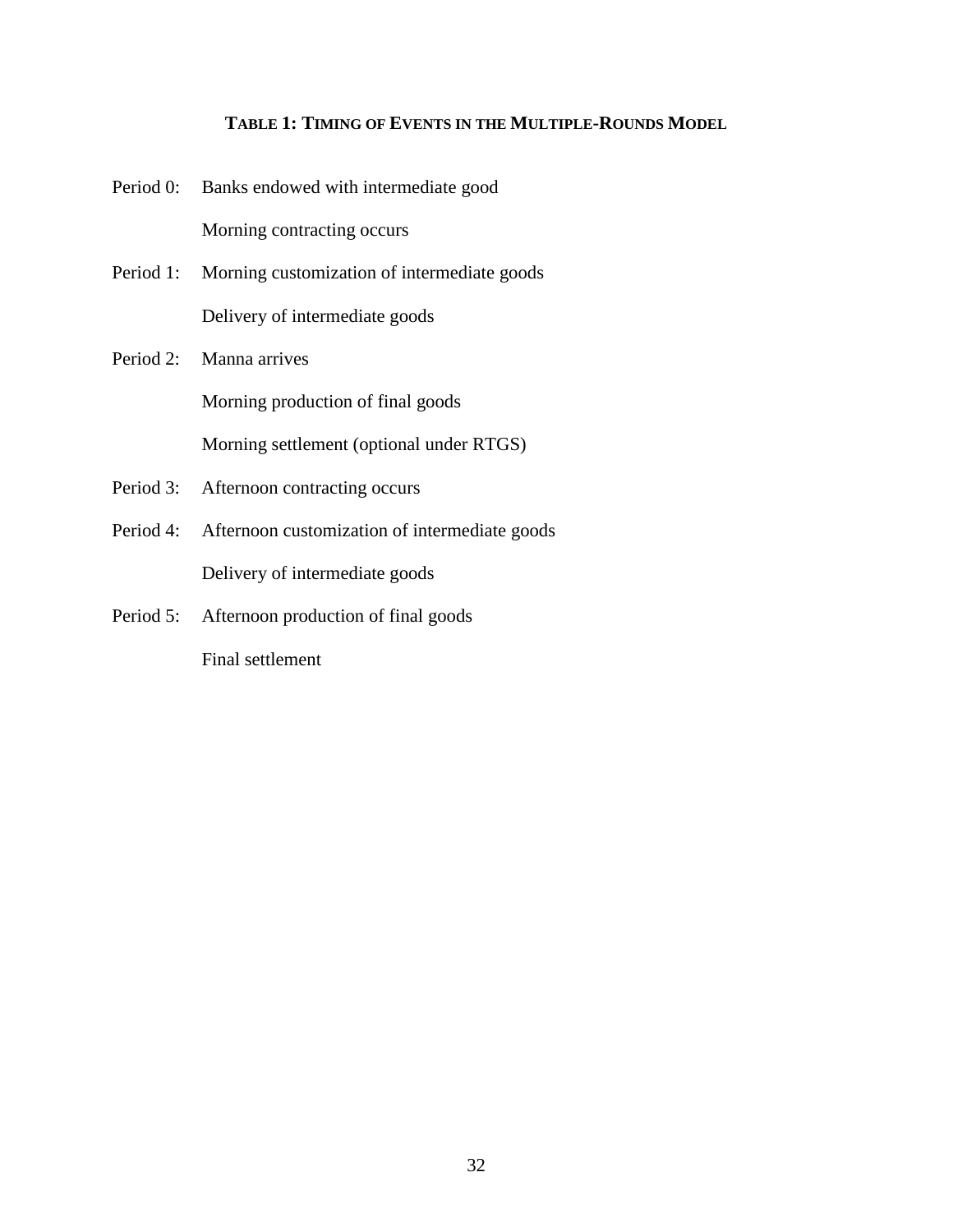#### **TABLE 1: TIMING OF EVENTS IN THE MULTIPLE-ROUNDS MODEL**

- Period 0: Banks endowed with intermediate good Morning contracting occurs
- Period 1: Morning customization of intermediate goods Delivery of intermediate goods
- Period 2: Manna arrives Morning production of final goods Morning settlement (optional under RTGS)
- Period 3: Afternoon contracting occurs
- Period 4: Afternoon customization of intermediate goods Delivery of intermediate goods
- Period 5: Afternoon production of final goods Final settlement